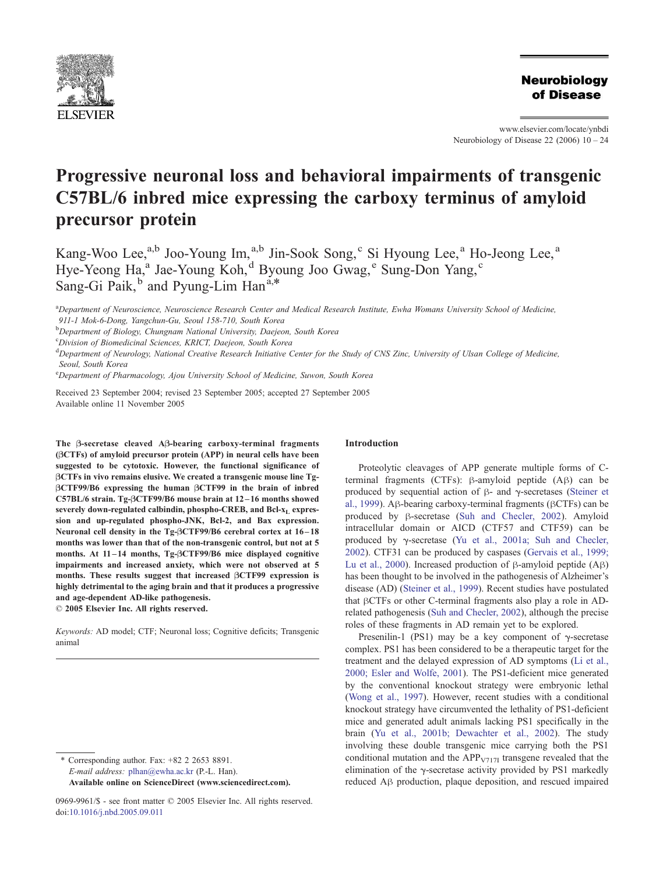

**Neurobiology** of Disease

## www.elsevier.com/locate/ynbdi Neurobiology of Disease  $22$  (2006)  $10 - 24$

# Progressive neuronal loss and behavioral impairments of transgenic C57BL/6 inbred mice expressing the carboxy terminus of amyloid precursor protein

Kang-Woo Lee,<sup>a,b</sup> Joo-Young Im,<sup>a,b</sup> Jin-Sook Song,<sup>c</sup> Si Hyoung Lee,<sup>a</sup> Ho-Jeong Lee,<sup>a</sup> Hye-Yeong Ha,<sup>a</sup> Jae-Young Koh,<sup>d</sup> Byoung Joo Gwag,<sup>e</sup> Sung-Don Yang,<sup>c</sup> Sang-Gi Paik, $\overline{b}$  and Pyung-Lim Han<sup>a,\*</sup>

a Department of Neuroscience, Neuroscience Research Center and Medical Research Institute, Ewha Womans University School of Medicine, 911-1 Mok-6-Dong, Yangchun-Gu, Seoul 158-710, South Korea

<sup>b</sup>Department of Biology, Chungnam National University, Daejeon, South Korea

<sup>c</sup>Division of Biomedicinal Sciences, KRICT, Daejeon, South Korea

<sup>d</sup> Department of Neurology, National Creative Research Initiative Center for the Study of CNS Zinc, University of Ulsan College of Medicine, Seoul, South Korea

<sup>e</sup>Department of Pharmacology, Ajou University School of Medicine, Suwon, South Korea

Received 23 September 2004; revised 23 September 2005; accepted 27 September 2005 Available online 11 November 2005

The B-secretase cleaved AB-bearing carboxy-terminal fragments (BCTFs) of amyloid precursor protein (APP) in neural cells have been suggested to be cytotoxic. However, the functional significance of BCTFs in vivo remains elusive. We created a transgenic mouse line Tg-BCTF99/B6 expressing the human BCTF99 in the brain of inbred C57BL/6 strain. Tg-BCTF99/B6 mouse brain at 12 – 16 months showed severely down-regulated calbindin, phospho-CREB, and Bcl-x<sub>L</sub> expression and up-regulated phospho-JNK, Bcl-2, and Bax expression. Neuronal cell density in the Tg- $\beta$ CTF99/B6 cerebral cortex at 16-18 months was lower than that of the non-transgenic control, but not at 5 months. At 11-14 months, Tg- $\beta$ CTF99/B6 mice displayed cognitive impairments and increased anxiety, which were not observed at 5 months. These results suggest that increased BCTF99 expression is highly detrimental to the aging brain and that it produces a progressive and age-dependent AD-like pathogenesis.

 $© 2005 Elsevier Inc. All rights reserved.$ 

Keywords: AD model; CTF; Neuronal loss; Cognitive deficits; Transgenic animal

\* Corresponding author. Fax: +82 2 2653 8891. E-mail address: [plhan@ewha.ac.kr](mailto:plhan@ewha.ac.kr) (P.-L. Han). Available online on ScienceDirect ([www.sciencedirect.com](http://www.sciencedirect.com)).

## Introduction

Proteolytic cleavages of APP generate multiple forms of Cterminal fragments (CTFs):  $\beta$ -amyloid peptide  $(A\beta)$  can be produced by sequential action of  $\beta$ - and  $\gamma$ -secretases ([Steiner et](#page-14-0) al., 1999). A $\beta$ -bearing carboxy-terminal fragments ( $\beta$ CTFs) can be produced by  $\beta$ -secretase ([Suh and Checler, 2002\)](#page-14-0). Amyloid intracellular domain or AICD (CTF57 and CTF59) can be produced by  $\gamma$ -secretase ([Yu et al., 2001a; Suh and Checler,](#page-14-0) 2002). CTF31 can be produced by caspases ([Gervais et al., 1999;](#page-12-0) Lu et al., 2000). Increased production of  $\beta$ -amyloid peptide (A $\beta$ ) has been thought to be involved in the pathogenesis of Alzheimer's disease (AD) ([Steiner et al., 1999\)](#page-14-0). Recent studies have postulated that  $\beta$ CTFs or other C-terminal fragments also play a role in ADrelated pathogenesis ([Suh and Checler, 2002\)](#page-14-0), although the precise roles of these fragments in AD remain yet to be explored.

Presenilin-1 (PS1) may be a key component of  $\gamma$ -secretase complex. PS1 has been considered to be a therapeutic target for the treatment and the delayed expression of AD symptoms ([Li et al.,](#page-13-0) 2000; Esler and Wolfe, 2001). The PS1-deficient mice generated by the conventional knockout strategy were embryonic lethal ([Wong et al., 1997\)](#page-14-0). However, recent studies with a conditional knockout strategy have circumvented the lethality of PS1-deficient mice and generated adult animals lacking PS1 specifically in the brain ([Yu et al., 2001b; Dewachter et al., 2002\)](#page-14-0). The study involving these double transgenic mice carrying both the PS1 conditional mutation and the  $APP<sub>V717I</sub>$  transgene revealed that the elimination of the  $\gamma$ -secretase activity provided by PS1 markedly reduced Ah production, plaque deposition, and rescued impaired

<sup>0969-9961/\$ -</sup> see front matter © 2005 Elsevier Inc. All rights reserved. doi[:10.1016/j.nbd.2005.09.011](http://dx.doi.org/10.1016/j.nbd.2005.09.011)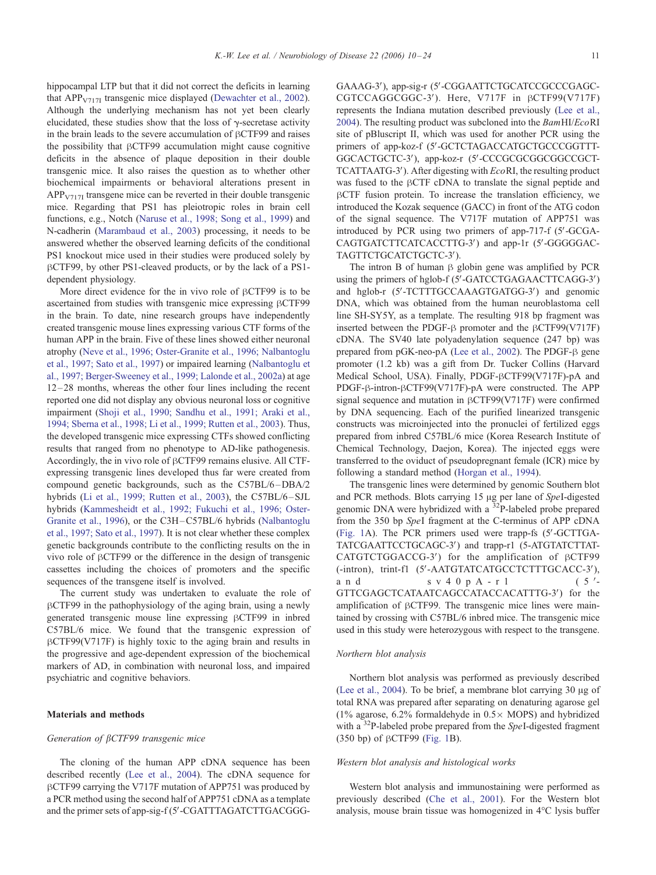hippocampal LTP but that it did not correct the deficits in learning that  $APP<sub>V717I</sub>$  transgenic mice displayed ([Dewachter et al., 2002\)](#page-12-0). Although the underlying mechanism has not yet been clearly elucidated, these studies show that the loss of  $\gamma$ -secretase activity in the brain leads to the severe accumulation of  $\beta$ CTF99 and raises the possibility that  $\beta$ CTF99 accumulation might cause cognitive deficits in the absence of plaque deposition in their double transgenic mice. It also raises the question as to whether other biochemical impairments or behavioral alterations present in  $APP<sub>V717I</sub>$  transgene mice can be reverted in their double transgenic mice. Regarding that PS1 has pleiotropic roles in brain cell functions, e.g., Notch ([Naruse et al., 1998; Song et al., 1999\)](#page-13-0) and N-cadherin [\(Marambaud et al., 2003\)](#page-13-0) processing, it needs to be answered whether the observed learning deficits of the conditional PS1 knockout mice used in their studies were produced solely by  $\beta$ CTF99, by other PS1-cleaved products, or by the lack of a PS1dependent physiology.

More direct evidence for the in vivo role of  $\beta$ CTF99 is to be ascertained from studies with transgenic mice expressing  $\beta$ CTF99 in the brain. To date, nine research groups have independently created transgenic mouse lines expressing various CTF forms of the human APP in the brain. Five of these lines showed either neuronal atrophy [\(Neve et al., 1996; Oster-Granite et al., 1996; Nalbantoglu](#page-13-0) et al., 1997; Sato et al., 1997) or impaired learning ([Nalbantoglu et](#page-13-0) al., 1997; Berger-Sweeney et al., 1999; Lalonde et al., 2002a) at age  $12 - 28$  months, whereas the other four lines including the recent reported one did not display any obvious neuronal loss or cognitive impairment ([Shoji et al., 1990; Sandhu et al., 1991; Araki et al.,](#page-14-0) 1994; Sberna et al., 1998; Li et al., 1999; Rutten et al., 2003). Thus, the developed transgenic mice expressing CTFs showed conflicting results that ranged from no phenotype to AD-like pathogenesis. Accordingly, the in vivo role of  $\beta$ CTF99 remains elusive. All CTFexpressing transgenic lines developed thus far were created from compound genetic backgrounds, such as the C57BL/6 –DBA/2 hybrids ([Li et al., 1999; Rutten et al., 2003\)](#page-13-0), the C57BL/6-SJL hybrids ([Kammesheidt et al., 1992; Fukuchi et al., 1996; Oster-](#page-13-0)Granite et al., 1996), or the C3H –C57BL/6 hybrids ([Nalbantoglu](#page-13-0) et al., 1997; Sato et al., 1997). It is not clear whether these complex genetic backgrounds contribute to the conflicting results on the in vivo role of hCTF99 or the difference in the design of transgenic cassettes including the choices of promoters and the specific sequences of the transgene itself is involved.

The current study was undertaken to evaluate the role of  $\beta$ CTF99 in the pathophysiology of the aging brain, using a newly generated transgenic mouse line expressing  $\beta$ CTF99 in inbred C57BL/6 mice. We found that the transgenic expression of  $\beta$ CTF99(V717F) is highly toxic to the aging brain and results in the progressive and age-dependent expression of the biochemical markers of AD, in combination with neuronal loss, and impaired psychiatric and cognitive behaviors.

## Materials and methods

## Generation of  $\beta$ CTF99 transgenic mice

The cloning of the human APP cDNA sequence has been described recently ([Lee et al., 2004\)](#page-13-0). The cDNA sequence for  $\beta$ CTF99 carrying the V717F mutation of APP751 was produced by a PCR method using the second half of APP751 cDNA as a template and the primer sets of app-sig-f (5'-CGATTTAGATCTTGACGGG- GAAAG-3'), app-sig-r (5'-CGGAATTCTGCATCCGCCCGAGC-CGTCCAGGCGGC-3'). Here, V717F in  $\beta$ CTF99(V717F) represents the Indiana mutation described previously ([Lee et al.,](#page-13-0) 2004). The resulting product was subcloned into the BamHI/EcoRI site of pBluscript II, which was used for another PCR using the primers of app-koz-f (5'-GCTCTAGACCATGCTGCCCGGTTT-GGCACTGCTC-3'), app-koz-r (5'-CCCGCGCGGCGGCCGCT-TCATTAATG-3'). After digesting with  $EcoRI$ , the resulting product was fused to the  $\beta$ CTF cDNA to translate the signal peptide and  $\beta$ CTF fusion protein. To increase the translation efficiency, we introduced the Kozak sequence (GACC) in front of the ATG codon of the signal sequence. The V717F mutation of APP751 was introduced by PCR using two primers of app-717-f  $(5'-GCGA-$ CAGTGATCTTCATCACCTTG-3') and app-1r (5'-GGGGGAC-TAGTTCTGCATCTGCTC-3').

The intron B of human  $\beta$  globin gene was amplified by PCR using the primers of hglob-f (5'-GATCCTGAGAACTTCAGG-3') and hglob-r (5'-TCTTTGCCAAAGTGATGG-3') and genomic DNA, which was obtained from the human neuroblastoma cell line SH-SY5Y, as a template. The resulting 918 bp fragment was inserted between the PDGF- $\beta$  promoter and the  $\beta$ CTF99(V717F) cDNA. The SV40 late polyadenylation sequence (247 bp) was prepared from pGK-neo-pA ([Lee et al., 2002\)](#page-13-0). The PDGF- $\beta$  gene promoter (1.2 kb) was a gift from Dr. Tucker Collins (Harvard Medical School, USA). Finally, PDGF-BCTF99(V717F)-pA and PDGF- $\beta$ -intron- $\beta$ CTF99(V717F)-pA were constructed. The APP signal sequence and mutation in  $\beta$ CTF99(V717F) were confirmed by DNA sequencing. Each of the purified linearized transgenic constructs was microinjected into the pronuclei of fertilized eggs prepared from inbred C57BL/6 mice (Korea Research Institute of Chemical Technology, Daejon, Korea). The injected eggs were transferred to the oviduct of pseudopregnant female (ICR) mice by following a standard method ([Horgan et al., 1994\)](#page-12-0).

The transgenic lines were determined by genomic Southern blot and PCR methods. Blots carrying 15  $\mu$ g per lane of SpeI-digested genomic DNA were hybridized with a <sup>32</sup>P-labeled probe prepared from the 350 bp SpeI fragment at the C-terminus of APP cDNA ([Fig. 1A](#page-2-0)). The PCR primers used were trapp-fs (5'-GCTTGA-TATCGAATTCCTGCAGC-3') and trapp-r1 (5-ATGTATCTTAT- $CATGTCTGGACCG-3'$ ) for the amplification of  $\beta$ CTF99 (-intron), trint-f1 (5'-AATGTATCATGCCTCTTTGCACC-3'), and sv40pA-r1 (5'-GTTCGAGCTCATAATCAGCCATACCACATTTG-3') for the amplification of  $\beta$ CTF99. The transgenic mice lines were maintained by crossing with C57BL/6 inbred mice. The transgenic mice used in this study were heterozygous with respect to the transgene.

# Northern blot analysis

Northern blot analysis was performed as previously described ([Lee et al., 2004\)](#page-13-0). To be brief, a membrane blot carrying  $30 \mu$ g of total RNA was prepared after separating on denaturing agarose gel (1% agarose, 6.2% formaldehyde in  $0.5 \times$  MOPS) and hybridized with a  $32P$ -labeled probe prepared from the SpeI-digested fragment (350 bp) of  $\beta$ CTF99 ([Fig. 1B](#page-2-0)).

## Western blot analysis and histological works

Western blot analysis and immunostaining were performed as previously described ([Che et al., 2001\)](#page-12-0). For the Western blot analysis, mouse brain tissue was homogenized in  $4^{\circ}$ C lysis buffer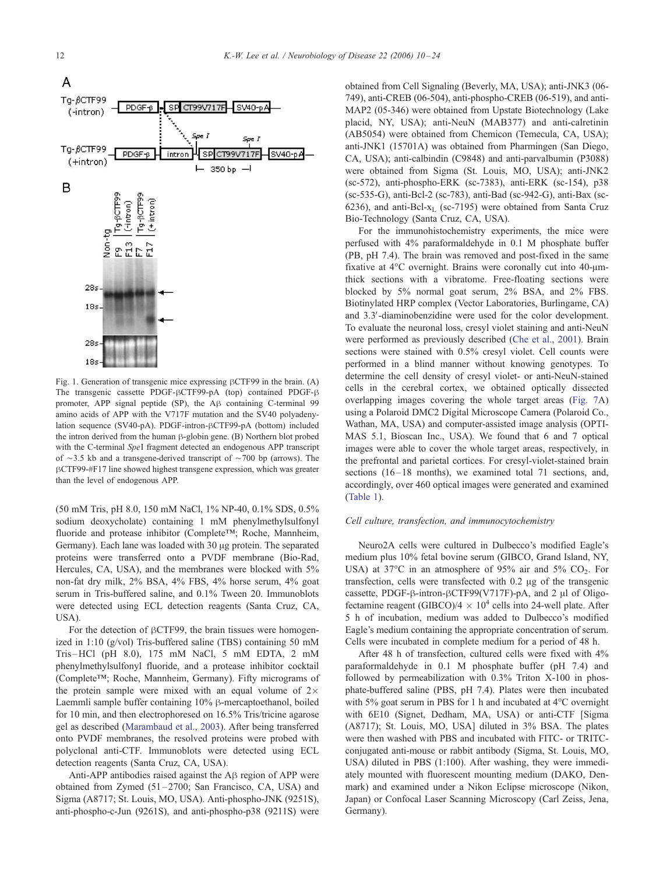<span id="page-2-0"></span>

Fig. 1. Generation of transgenic mice expressing  $\beta$ CTF99 in the brain. (A) The transgenic cassette PDGF- $\beta$ CTF99-pA (top) contained PDGF- $\beta$ promoter, APP signal peptide (SP), the A $\beta$  containing C-terminal 99 amino acids of APP with the V717F mutation and the SV40 polyadenylation sequence (SV40-pA). PDGF-intron- $\beta$ CTF99-pA (bottom) included the intron derived from the human  $\beta$ -globin gene. (B) Northern blot probed with the C-terminal *SpeI* fragment detected an endogenous APP transcript of  $\sim$ 3.5 kb and a transgene-derived transcript of  $\sim$ 700 bp (arrows). The  $\beta$ CTF99-#F17 line showed highest transgene expression, which was greater than the level of endogenous APP.

(50 mM Tris, pH 8.0, 150 mM NaCl, 1% NP-40, 0.1% SDS, 0.5% sodium deoxycholate) containing 1 mM phenylmethylsulfonyl fluoride and protease inhibitor (Complete<sup>TM</sup>; Roche, Mannheim, Germany). Each lane was loaded with  $30 \mu$ g protein. The separated proteins were transferred onto a PVDF membrane (Bio-Rad, Hercules, CA, USA), and the membranes were blocked with 5% non-fat dry milk, 2% BSA, 4% FBS, 4% horse serum, 4% goat serum in Tris-buffered saline, and 0.1% Tween 20. Immunoblots were detected using ECL detection reagents (Santa Cruz, CA,  $USA$ ).

For the detection of  $\beta$ CTF99, the brain tissues were homogenized in 1:10 (g/vol) Tris-buffered saline (TBS) containing 50 mM Tris –HCl (pH 8.0), 175 mM NaCl, 5 mM EDTA, 2 mM phenylmethylsulfonyl fluoride, and a protease inhibitor cocktail  $(Complete<sup>TM</sup>; Roche, Mannheim, Germany)$ . Fifty micrograms of the protein sample were mixed with an equal volume of  $2\times$ Laemmli sample buffer containing  $10\%$   $\beta$ -mercaptoethanol, boiled for 10 min, and then electrophoresed on 16.5% Tris/tricine agarose gel as described ([Marambaud et al., 2003\)](#page-13-0). After being transferred onto PVDF membranes, the resolved proteins were probed with polyclonal anti-CTF. Immunoblots were detected using ECL detection reagents (Santa Cruz, CA, USA).

Anti-APP antibodies raised against the  $A\beta$  region of APP were obtained from Zymed  $(51-2700)$ ; San Francisco, CA, USA) and Sigma (A8717; St. Louis, MO, USA). Anti-phospho-JNK (9251S), anti-phospho-c-Jun (9261S), and anti-phospho-p38 (9211S) were

obtained from Cell Signaling (Beverly, MA, USA); anti-JNK3 (06- 749), anti-CREB (06-504), anti-phospho-CREB (06-519), and anti-MAP2 (05-346) were obtained from Upstate Biotechnology (Lake placid, NY, USA); anti-NeuN (MAB377) and anti-calretinin (AB5054) were obtained from Chemicon (Temecula, CA, USA); anti-JNK1 (15701A) was obtained from Pharmingen (San Diego, CA, USA); anti-calbindin (C9848) and anti-parvalbumin (P3088) were obtained from Sigma (St. Louis, MO, USA); anti-JNK2 (sc-572), anti-phospho-ERK (sc-7383), anti-ERK (sc-154), p38 (sc-535-G), anti-Bcl-2 (sc-783), anti-Bad (sc-942-G), anti-Bax (sc-6236), and anti-Bcl- $x_L$  (sc-7195) were obtained from Santa Cruz Bio-Technology (Santa Cruz, CA, USA).

For the immunohistochemistry experiments, the mice were perfused with 4% paraformaldehyde in 0.1 M phosphate buffer (PB, pH 7.4). The brain was removed and post-fixed in the same fixative at  $4^{\circ}$ C overnight. Brains were coronally cut into  $40$ - $\mu$ mthick sections with a vibratome. Free-floating sections were blocked by 5% normal goat serum, 2% BSA, and 2% FBS. Biotinylated HRP complex (Vector Laboratories, Burlingame, CA) and 3.3'-diaminobenzidine were used for the color development. To evaluate the neuronal loss, cresyl violet staining and anti-NeuN were performed as previously described ([Che et al., 2001\)](#page-12-0). Brain sections were stained with 0.5% cresyl violet. Cell counts were performed in a blind manner without knowing genotypes. To determine the cell density of cresyl violet- or anti-NeuN-stained cells in the cerebral cortex, we obtained optically dissected overlapping images covering the whole target areas ([Fig. 7A](#page-8-0)) using a Polaroid DMC2 Digital Microscope Camera (Polaroid Co., Wathan, MA, USA) and computer-assisted image analysis (OPTI-MAS 5.1, Bioscan Inc., USA). We found that 6 and 7 optical images were able to cover the whole target areas, respectively, in the prefrontal and parietal cortices. For cresyl-violet-stained brain sections (16–18 months), we examined total 71 sections, and, accordingly, over 460 optical images were generated and examined ([Table 1\)](#page-7-0).

## Cell culture, transfection, and immunocytochemistry

Neuro2A cells were cultured in Dulbecco's modified Eagle's medium plus 10% fetal bovine serum (GIBCO, Grand Island, NY, USA) at 37°C in an atmosphere of 95% air and 5%  $CO<sub>2</sub>$ . For transfection, cells were transfected with  $0.2 \mu g$  of the transgenic cassette, PDGF- $\beta$ -intron- $\beta$ CTF99(V717F)-pA, and 2 µl of Oligofectamine reagent (GIBCO)/4  $\times$  10<sup>4</sup> cells into 24-well plate. After 5 h of incubation, medium was added to Dulbecco's modified Eagle's medium containing the appropriate concentration of serum. Cells were incubated in complete medium for a period of 48 h.

After 48 h of transfection, cultured cells were fixed with 4% paraformaldehyde in 0.1 M phosphate buffer (pH 7.4) and followed by permeabilization with 0.3% Triton X-100 in phosphate-buffered saline (PBS, pH 7.4). Plates were then incubated with 5% goat serum in PBS for 1 h and incubated at  $4^{\circ}$ C overnight with 6E10 (Signet, Dedham, MA, USA) or anti-CTF [Sigma (A8717); St. Louis, MO, USA] diluted in 3% BSA. The plates were then washed with PBS and incubated with FITC- or TRITCconjugated anti-mouse or rabbit antibody (Sigma, St. Louis, MO, USA) diluted in PBS (1:100). After washing, they were immediately mounted with fluorescent mounting medium (DAKO, Denmark) and examined under a Nikon Eclipse microscope (Nikon, Japan) or Confocal Laser Scanning Microscopy (Carl Zeiss, Jena, Germany).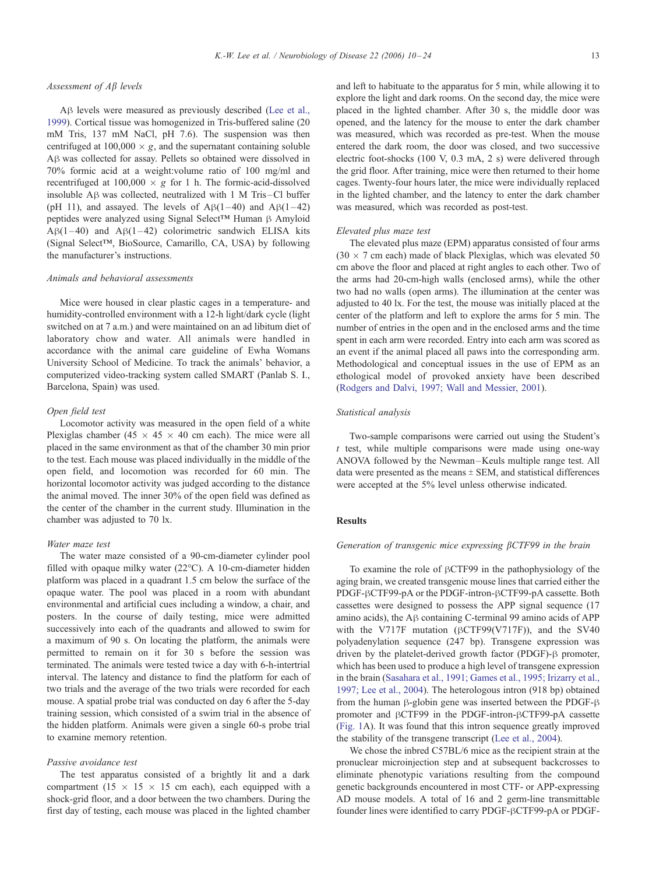## Assessment of  $A\beta$  levels

A $\beta$  levels were measured as previously described ([Lee et al.,](#page-13-0) 1999). Cortical tissue was homogenized in Tris-buffered saline (20 mM Tris, 137 mM NaCl, pH 7.6). The suspension was then centrifuged at  $100,000 \times g$ , and the supernatant containing soluble A $\beta$  was collected for assay. Pellets so obtained were dissolved in 70% formic acid at a weight:volume ratio of 100 mg/ml and recentrifuged at  $100,000 \times g$  for 1 h. The formic-acid-dissolved insoluble  $\overline{AB}$  was collected, neutralized with 1 M Tris-Cl buffer (pH 11), and assayed. The levels of  $\text{AB}(1-40)$  and  $\text{AB}(1-42)$ peptides were analyzed using Signal Select<sup>TM</sup> Human  $\beta$  Amyloid  $A\beta(1-40)$  and  $A\beta(1-42)$  colorimetric sandwich ELISA kits (Signal Select<sup>TM</sup>, BioSource, Camarillo, CA, USA) by following the manufacturer's instructions.

## Animals and behavioral assessments

Mice were housed in clear plastic cages in a temperature- and humidity-controlled environment with a 12-h light/dark cycle (light switched on at 7 a.m.) and were maintained on an ad libitum diet of laboratory chow and water. All animals were handled in accordance with the animal care guideline of Ewha Womans University School of Medicine. To track the animals' behavior, a computerized video-tracking system called SMART (Panlab S. I., Barcelona, Spain) was used.

#### Open field test

Locomotor activity was measured in the open field of a white Plexiglas chamber (45  $\times$  45  $\times$  40 cm each). The mice were all placed in the same environment as that of the chamber 30 min prior to the test. Each mouse was placed individually in the middle of the open field, and locomotion was recorded for 60 min. The horizontal locomotor activity was judged according to the distance the animal moved. The inner 30% of the open field was defined as the center of the chamber in the current study. Illumination in the chamber was adjusted to 70 lx.

## Water maze test

The water maze consisted of a 90-cm-diameter cylinder pool filled with opaque milky water  $(22^{\circ}C)$ . A 10-cm-diameter hidden platform was placed in a quadrant 1.5 cm below the surface of the opaque water. The pool was placed in a room with abundant environmental and artificial cues including a window, a chair, and posters. In the course of daily testing, mice were admitted successively into each of the quadrants and allowed to swim for a maximum of 90 s. On locating the platform, the animals were permitted to remain on it for 30 s before the session was terminated. The animals were tested twice a day with 6-h-intertrial interval. The latency and distance to find the platform for each of two trials and the average of the two trials were recorded for each mouse. A spatial probe trial was conducted on day 6 after the 5-day training session, which consisted of a swim trial in the absence of the hidden platform. Animals were given a single 60-s probe trial to examine memory retention.

## Passive avoidance test

The test apparatus consisted of a brightly lit and a dark compartment  $(15 \times 15 \times 15$  cm each), each equipped with a shock-grid floor, and a door between the two chambers. During the first day of testing, each mouse was placed in the lighted chamber and left to habituate to the apparatus for 5 min, while allowing it to explore the light and dark rooms. On the second day, the mice were placed in the lighted chamber. After 30 s, the middle door was opened, and the latency for the mouse to enter the dark chamber was measured, which was recorded as pre-test. When the mouse entered the dark room, the door was closed, and two successive electric foot-shocks (100 V, 0.3 mA, 2 s) were delivered through the grid floor. After training, mice were then returned to their home cages. Twenty-four hours later, the mice were individually replaced in the lighted chamber, and the latency to enter the dark chamber was measured, which was recorded as post-test.

#### Elevated plus maze test

The elevated plus maze (EPM) apparatus consisted of four arms  $(30 \times 7 \text{ cm}$  each) made of black Plexiglas, which was elevated 50 cm above the floor and placed at right angles to each other. Two of the arms had 20-cm-high walls (enclosed arms), while the other two had no walls (open arms). The illumination at the center was adjusted to 40 lx. For the test, the mouse was initially placed at the center of the platform and left to explore the arms for 5 min. The number of entries in the open and in the enclosed arms and the time spent in each arm were recorded. Entry into each arm was scored as an event if the animal placed all paws into the corresponding arm. Methodological and conceptual issues in the use of EPM as an ethological model of provoked anxiety have been described ([Rodgers and Dalvi, 1997; Wall and Messier, 2001\)](#page-13-0).

## Statistical analysis

Two-sample comparisons were carried out using the Student's  $t$  test, while multiple comparisons were made using one-way ANOVA followed by the Newman –Keuls multiple range test. All data were presented as the means  $\pm$  SEM, and statistical differences were accepted at the 5% level unless otherwise indicated.

## Results

## Generation of transgenic mice expressing  $\beta$ CTF99 in the brain

To examine the role of  $\beta$ CTF99 in the pathophysiology of the aging brain, we created transgenic mouse lines that carried either the PDGF- $\beta$ CTF99-pA or the PDGF-intron- $\beta$ CTF99-pA cassette. Both cassettes were designed to possess the APP signal sequence (17 amino acids), the  $\overrightarrow{AB}$  containing C-terminal 99 amino acids of APP with the V717F mutation ( $\beta$ CTF99(V717F)), and the SV40 polyadenylation sequence (247 bp). Transgene expression was driven by the platelet-derived growth factor (PDGF)- $\beta$  promoter, which has been used to produce a high level of transgene expression in the brain ([Sasahara et al., 1991; Games et al., 1995; Irizarry et al.,](#page-13-0) 1997; Lee et al., 2004). The heterologous intron (918 bp) obtained from the human  $\beta$ -globin gene was inserted between the PDGF- $\beta$ promoter and  $\beta$ CTF99 in the PDGF-intron- $\beta$ CTF99-pA cassette ([Fig. 1A](#page-2-0)). It was found that this intron sequence greatly improved the stability of the transgene transcript ([Lee et al., 2004\)](#page-13-0).

We chose the inbred C57BL/6 mice as the recipient strain at the pronuclear microinjection step and at subsequent backcrosses to eliminate phenotypic variations resulting from the compound genetic backgrounds encountered in most CTF- or APP-expressing AD mouse models. A total of 16 and 2 germ-line transmittable founder lines were identified to carry PDGF- $\beta$ CTF99-pA or PDGF-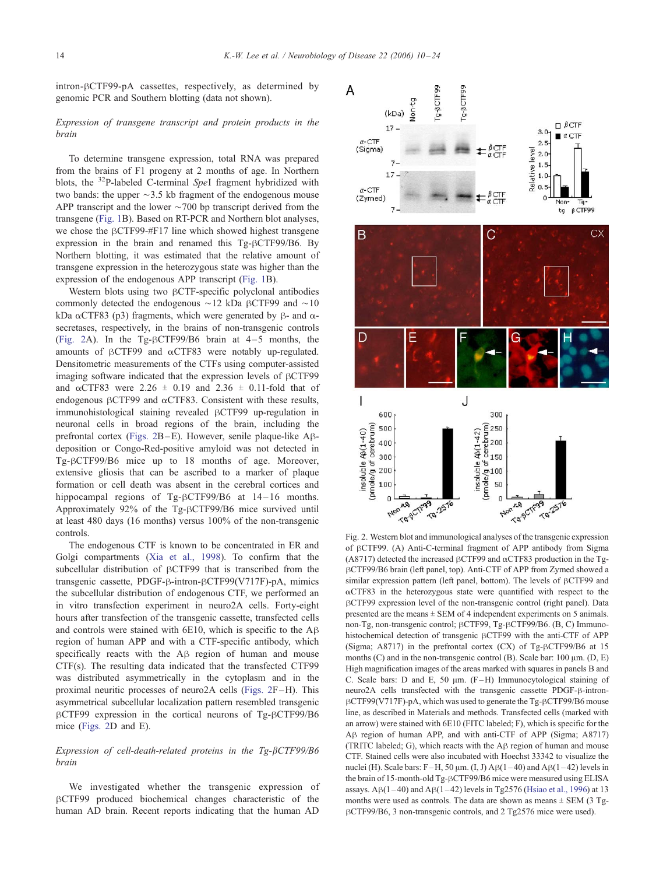<span id="page-4-0"></span>intron- $\beta$ CTF99-pA cassettes, respectively, as determined by genomic PCR and Southern blotting (data not shown).

# Expression of transgene transcript and protein products in the brain

To determine transgene expression, total RNA was prepared from the brains of F1 progeny at 2 months of age. In Northern blots, the  $32P$ -labeled C-terminal SpeI fragment hybridized with two bands: the upper  $\sim$ 3.5 kb fragment of the endogenous mouse APP transcript and the lower  $\sim$ 700 bp transcript derived from the transgene ([Fig. 1B](#page-2-0)). Based on RT-PCR and Northern blot analyses, we chose the  $\beta$ CTF99-#F17 line which showed highest transgene expression in the brain and renamed this  $Tg-\beta CTF99/B6$ . By Northern blotting, it was estimated that the relative amount of transgene expression in the heterozygous state was higher than the expression of the endogenous APP transcript ([Fig. 1B](#page-2-0)).

Western blots using two  $\beta$ CTF-specific polyclonal antibodies commonly detected the endogenous  $\sim$ 12 kDa  $\beta$ CTF99 and  $\sim$ 10 kDa  $\alpha$ CTF83 (p3) fragments, which were generated by  $\beta$ - and  $\alpha$ secretases, respectively, in the brains of non-transgenic controls (Fig. 2A). In the Tg- $\beta$ CTF99/B6 brain at 4-5 months, the amounts of  $\beta$ CTF99 and  $\alpha$ CTF83 were notably up-regulated. Densitometric measurements of the CTFs using computer-assisted imaging software indicated that the expression levels of  $\beta$ CTF99 and  $\alpha$ CTF83 were 2.26  $\pm$  0.19 and 2.36  $\pm$  0.11-fold that of endogenous  $\beta$ CTF99 and  $\alpha$ CTF83. Consistent with these results, immunohistological staining revealed  $\beta$ CTF99 up-regulation in neuronal cells in broad regions of the brain, including the prefrontal cortex (Figs. 2B –E). However, senile plaque-like Ahdeposition or Congo-Red-positive amyloid was not detected in Tg- $\beta$ CTF99/B6 mice up to 18 months of age. Moreover, extensive gliosis that can be ascribed to a marker of plaque formation or cell death was absent in the cerebral cortices and hippocampal regions of Tg-BCTF99/B6 at 14-16 months. Approximately 92% of the Tg-BCTF99/B6 mice survived until at least 480 days (16 months) versus 100% of the non-transgenic controls.

The endogenous CTF is known to be concentrated in ER and Golgi compartments ([Xia et al., 1998\)](#page-14-0). To confirm that the subcellular distribution of  $\beta$ CTF99 that is transcribed from the transgenic cassette, PDGF-β-intron-βCTF99(V717F)-pA, mimics the subcellular distribution of endogenous CTF, we performed an in vitro transfection experiment in neuro2A cells. Forty-eight hours after transfection of the transgenic cassette, transfected cells and controls were stained with  $6E10$ , which is specific to the  $AB$ region of human APP and with a CTF-specific antibody, which specifically reacts with the  $A\beta$  region of human and mouse CTF(s). The resulting data indicated that the transfected CTF99 was distributed asymmetrically in the cytoplasm and in the proximal neuritic processes of neuro2A cells (Figs. 2F –H). This asymmetrical subcellular localization pattern resembled transgenic  $\beta$ CTF99 expression in the cortical neurons of Tg- $\beta$ CTF99/B6 mice (Figs. 2D and E).

# Expression of cell-death-related proteins in the  $Tg-\beta CTF99/B6$ brain

We investigated whether the transgenic expression of  $\beta$ CTF99 produced biochemical changes characteristic of the human AD brain. Recent reports indicating that the human AD



Fig. 2. Western blot and immunological analyses of the transgenic expression of  $\beta$ CTF99. (A) Anti-C-terminal fragment of APP antibody from Sigma (A8717) detected the increased  $\beta$ CTF99 and  $\alpha$ CTF83 production in the TghCTF99/B6 brain (left panel, top). Anti-CTF of APP from Zymed showed a similar expression pattern (left panel, bottom). The levels of  $\beta$ CTF99 and  $\alpha$ CTF83 in the heterozygous state were quantified with respect to the hCTF99 expression level of the non-transgenic control (right panel). Data presented are the means  $\pm$  SEM of 4 independent experiments on 5 animals. non-Tg, non-transgenic control;  $\beta$ CTF99, Tg- $\beta$ CTF99/B6. (B, C) Immunohistochemical detection of transgenic  $\beta$ CTF99 with the anti-CTF of APP (Sigma; A8717) in the prefrontal cortex (CX) of Tg- $\beta$ CTF99/B6 at 15 months  $(C)$  and in the non-transgenic control  $(B)$ . Scale bar: 100  $\mu$ m.  $(D, E)$ High magnification images of the areas marked with squares in panels B and C. Scale bars: D and E, 50  $\mu$ m. (F-H) Immunocytological staining of neuro2A cells transfected with the transgenic cassette PDGF-ß-intron- $\beta$ CTF99(V717F)-pA, which was used to generate the Tg- $\beta$ CTF99/B6 mouse line, as described in Materials and methods. Transfected cells (marked with an arrow) were stained with 6E10 (FITC labeled; F), which is specific for the A $\beta$  region of human APP, and with anti-CTF of APP (Sigma; A8717) (TRITC labeled; G), which reacts with the  $\mathsf{A}\beta$  region of human and mouse CTF. Stained cells were also incubated with Hoechst 33342 to visualize the nuclei (H). Scale bars:  $F-H$ , 50  $\mu$ m. (I, J) A $\beta$ (1-40) and A $\beta$ (1-42) levels in the brain of 15-month-old Tg-BCTF99/B6 mice were measured using ELISA assays.  $A\beta(1-40)$  and  $A\beta(1-42)$  levels in Tg2576 ([Hsiao et al., 1996\)](#page-12-0) at 13 months were used as controls. The data are shown as means  $\pm$  SEM (3 TghCTF99/B6, 3 non-transgenic controls, and 2 Tg2576 mice were used).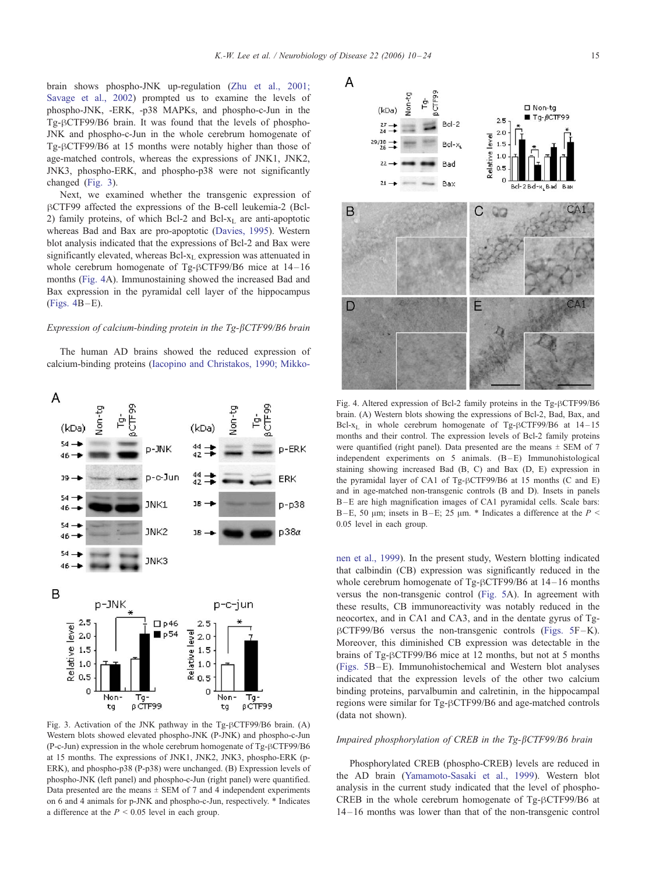<span id="page-5-0"></span>brain shows phospho-JNK up-regulation ([Zhu et al., 2001;](#page-14-0) Savage et al., 2002) prompted us to examine the levels of phospho-JNK, -ERK, -p38 MAPKs, and phospho-c-Jun in the Tg-BCTF99/B6 brain. It was found that the levels of phospho-JNK and phospho-c-Jun in the whole cerebrum homogenate of Tg- $\beta$ CTF99/B6 at 15 months were notably higher than those of age-matched controls, whereas the expressions of JNK1, JNK2, JNK3, phospho-ERK, and phospho-p38 were not significantly changed (Fig. 3).

Next, we examined whether the transgenic expression of BCTF99 affected the expressions of the B-cell leukemia-2 (Bcl-2) family proteins, of which Bcl-2 and Bcl- $x<sub>L</sub>$  are anti-apoptotic whereas Bad and Bax are pro-apoptotic ([Davies, 1995\)](#page-12-0). Western blot analysis indicated that the expressions of Bcl-2 and Bax were significantly elevated, whereas Bcl-x<sub>L</sub> expression was attenuated in whole cerebrum homogenate of Tg- $\beta$ CTF99/B6 mice at 14-16 months (Fig. 4A). Immunostaining showed the increased Bad and Bax expression in the pyramidal cell layer of the hippocampus  $(Figs. 4B-E).$ 

# Expression of calcium-binding protein in the Tg- $\beta$ CTF99/B6 brain

The human AD brains showed the reduced expression of calcium-binding proteins ([Iacopino and Christakos, 1990; Mikko-](#page-12-0)



Fig. 3. Activation of the JNK pathway in the Tg- $\beta$ CTF99/B6 brain. (A) Western blots showed elevated phospho-JNK (P-JNK) and phospho-c-Jun  $(P-c-Jun)$  expression in the whole cerebrum homogenate of Tg- $\beta$ CTF99/B6 at 15 months. The expressions of JNK1, JNK2, JNK3, phospho-ERK (p-ERK), and phospho-p38 (P-p38) were unchanged. (B) Expression levels of phospho-JNK (left panel) and phospho-c-Jun (right panel) were quantified. Data presented are the means  $\pm$  SEM of 7 and 4 independent experiments on 6 and 4 animals for p-JNK and phospho-c-Jun, respectively. \* Indicates a difference at the  $P < 0.05$  level in each group.



Fig. 4. Altered expression of Bcl-2 family proteins in the Tg- $\beta$ CTF99/B6 brain. (A) Western blots showing the expressions of Bcl-2, Bad, Bax, and Bcl- $x_L$  in whole cerebrum homogenate of Tg- $\beta$ CTF99/B6 at 14-15 months and their control. The expression levels of Bcl-2 family proteins were quantified (right panel). Data presented are the means  $\pm$  SEM of 7 independent experiments on  $5$  animals.  $(B-E)$  Immunohistological staining showing increased Bad (B, C) and Bax (D, E) expression in the pyramidal layer of CA1 of Tg- $\beta$ CTF99/B6 at 15 months (C and E) and in age-matched non-transgenic controls (B and D). Insets in panels B-E are high magnification images of CA1 pyramidal cells. Scale bars: B-E, 50  $\mu$ m; insets in B-E; 25  $\mu$ m. \* Indicates a difference at the P < 0.05 level in each group.

nen et al., 1999). In the present study, Western blotting indicated that calbindin (CB) expression was significantly reduced in the whole cerebrum homogenate of Tg- $\beta$ CTF99/B6 at 14-16 months versus the non-transgenic control ([Fig. 5A](#page-6-0)). In agreement with these results, CB immunoreactivity was notably reduced in the neocortex, and in CA1 and CA3, and in the dentate gyrus of Tg- $\beta$ CTF99/B6 versus the non-transgenic controls ([Figs. 5F](#page-6-0)-K). Moreover, this diminished CB expression was detectable in the brains of Tg- $\beta$ CTF99/B6 mice at 12 months, but not at 5 months ([Figs. 5B](#page-6-0) –E). Immunohistochemical and Western blot analyses indicated that the expression levels of the other two calcium binding proteins, parvalbumin and calretinin, in the hippocampal regions were similar for Tg- $\beta$ CTF99/B6 and age-matched controls (data not shown).

## Impaired phosphorylation of CREB in the Tg-bCTF99/B6 brain

Phosphorylated CREB (phospho-CREB) levels are reduced in the AD brain ([Yamamoto-Sasaki et al., 1999\)](#page-14-0). Western blot analysis in the current study indicated that the level of phospho-CREB in the whole cerebrum homogenate of Tg- $\beta$ CTF99/B6 at 14 – 16 months was lower than that of the non-transgenic control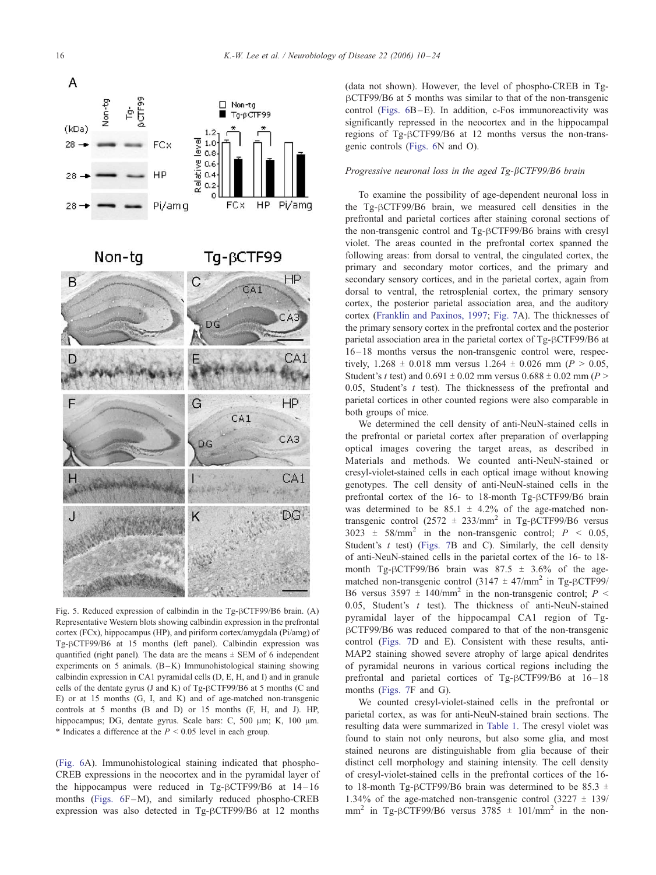<span id="page-6-0"></span>

Non-tg

Tg-βCTF99



Fig. 5. Reduced expression of calbindin in the  $Tg-\beta CTF99/B6$  brain. (A) Representative Western blots showing calbindin expression in the prefrontal cortex (FCx), hippocampus (HP), and piriform cortex/amygdala (Pi/amg) of Tg- $\beta$ CTF99/B6 at 15 months (left panel). Calbindin expression was quantified (right panel). The data are the means  $\pm$  SEM of 6 independent experiments on 5 animals.  $(B - K)$  Immunohistological staining showing calbindin expression in CA1 pyramidal cells (D, E, H, and I) and in granule cells of the dentate gyrus (J and K) of Tg- $\beta$ CTF99/B6 at 5 months (C and E) or at 15 months (G, I, and K) and of age-matched non-transgenic controls at 5 months (B and D) or 15 months (F, H, and J). HP, hippocampus; DG, dentate gyrus. Scale bars: C, 500 µm; K, 100 µm. \* Indicates a difference at the  $P < 0.05$  level in each group.

([Fig. 6A](#page-7-0)). Immunohistological staining indicated that phospho-CREB expressions in the neocortex and in the pyramidal layer of the hippocampus were reduced in Tg- $\beta$ CTF99/B6 at 14-16 months (Figs.  $6F-M$ ), and similarly reduced phospho-CREB expression was also detected in Tg-BCTF99/B6 at 12 months

(data not shown). However, the level of phospho-CREB in Tg- $\beta$ CTF99/B6 at 5 months was similar to that of the non-transgenic control ([Figs. 6B](#page-7-0)-E). In addition, c-Fos immunoreactivity was significantly repressed in the neocortex and in the hippocampal regions of  $Tg-\beta CTF99/B6$  at 12 months versus the non-transgenic controls ([Figs. 6N](#page-7-0) and O).

## Progressive neuronal loss in the aged Tg-BCTF99/B6 brain

To examine the possibility of age-dependent neuronal loss in the Tg-BCTF99/B6 brain, we measured cell densities in the prefrontal and parietal cortices after staining coronal sections of the non-transgenic control and Tg-BCTF99/B6 brains with cresyl violet. The areas counted in the prefrontal cortex spanned the following areas: from dorsal to ventral, the cingulated cortex, the primary and secondary motor cortices, and the primary and secondary sensory cortices, and in the parietal cortex, again from dorsal to ventral, the retrosplenial cortex, the primary sensory cortex, the posterior parietal association area, and the auditory cortex ([Franklin and Paxinos, 1997;](#page-12-0) [Fig. 7A](#page-8-0)). The thicknesses of the primary sensory cortex in the prefrontal cortex and the posterior parietal association area in the parietal cortex of Tg-BCTF99/B6 at 16 – 18 months versus the non-transgenic control were, respectively,  $1.268 \pm 0.018$  mm versus  $1.264 \pm 0.026$  mm ( $P > 0.05$ , Student's t test) and  $0.691 \pm 0.02$  mm versus  $0.688 \pm 0.02$  mm (P > 0.05. Student's  $t$  test). The thicknessess of the prefrontal and parietal cortices in other counted regions were also comparable in both groups of mice.

We determined the cell density of anti-NeuN-stained cells in the prefrontal or parietal cortex after preparation of overlapping optical images covering the target areas, as described in Materials and methods. We counted anti-NeuN-stained or cresyl-violet-stained cells in each optical image without knowing genotypes. The cell density of anti-NeuN-stained cells in the prefrontal cortex of the 16- to 18-month Tg-BCTF99/B6 brain was determined to be  $85.1 \pm 4.2\%$  of the age-matched nontransgenic control (2572  $\pm$  233/mm<sup>2</sup> in Tg- $\beta$ CTF99/B6 versus 3023  $\pm$  58/mm<sup>2</sup> in the non-transgenic control;  $P \le 0.05$ , Student's  $t$  test) ([Figs. 7B](#page-8-0) and C). Similarly, the cell density of anti-NeuN-stained cells in the parietal cortex of the 16- to 18 month Tg- $\beta$ CTF99/B6 brain was 87.5  $\pm$  3.6% of the agematched non-transgenic control (3147  $\pm$  47/mm<sup>2</sup> in Tg- $\beta$ CTF99/ B6 versus 3597  $\pm$  140/mm<sup>2</sup> in the non-transgenic control; P < 0.05, Student's  $t$  test). The thickness of anti-NeuN-stained pyramidal layer of the hippocampal CA1 region of Tg- $\beta$ CTF99/B6 was reduced compared to that of the non-transgenic control ([Figs. 7D](#page-8-0) and E). Consistent with these results, anti-MAP2 staining showed severe atrophy of large apical dendrites of pyramidal neurons in various cortical regions including the prefrontal and parietal cortices of  $Tg-\beta CTF99/B6$  at  $16-18$ months ([Figs. 7F](#page-8-0) and G).

We counted cresyl-violet-stained cells in the prefrontal or parietal cortex, as was for anti-NeuN-stained brain sections. The resulting data were summarized in [Table 1.](#page-7-0) The cresyl violet was found to stain not only neurons, but also some glia, and most stained neurons are distinguishable from glia because of their distinct cell morphology and staining intensity. The cell density of cresyl-violet-stained cells in the prefrontal cortices of the 16 to 18-month Tg- $\beta$ CTF99/B6 brain was determined to be 85.3  $\pm$ 1.34% of the age-matched non-transgenic control  $(3227 \pm 139)$ mm<sup>2</sup> in Tg-BCTF99/B6 versus  $3785 \pm 101/\text{mm}^2$  in the non-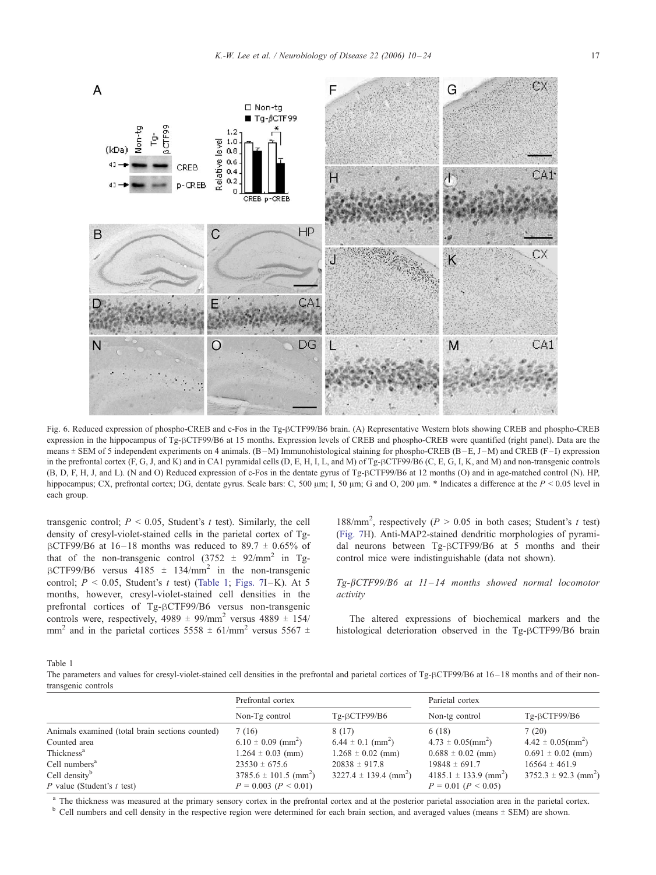<span id="page-7-0"></span>

Fig. 6. Reduced expression of phospho-CREB and c-Fos in the Tg- $\beta$ CTF99/B6 brain. (A) Representative Western blots showing CREB and phospho-CREB expression in the hippocampus of Tg-BCTF99/B6 at 15 months. Expression levels of CREB and phospho-CREB were quantified (right panel). Data are the means  $\pm$  SEM of 5 independent experiments on 4 animals. (B-M) Immunohistological staining for phospho-CREB (B-E, J-M) and CREB (F-I) expression in the prefrontal cortex (F, G, J, and K) and in CA1 pyramidal cells (D, E, H, I, L, and M) of Tg-BCTF99/B6 (C, E, G, I, K, and M) and non-transgenic controls (B, D, F, H, J, and L). (N and O) Reduced expression of c-Fos in the dentate gyrus of Tg- $\beta$ CTF99/B6 at 12 months (O) and in age-matched control (N). HP, hippocampus; CX, prefrontal cortex; DG, dentate gyrus. Scale bars: C, 500  $\mu$ m; I, 50  $\mu$ m; G and O, 200  $\mu$ m. \* Indicates a difference at the P < 0.05 level in each group.

transgenic control;  $P \le 0.05$ , Student's t test). Similarly, the cell density of cresyl-violet-stained cells in the parietal cortex of Tg- $\beta$ CTF99/B6 at 16-18 months was reduced to 89.7  $\pm$  0.65% of that of the non-transgenic control  $(3752 \pm 92/\text{mm}^2)$  in Tg- $\beta$ CTF99/B6 versus 4185  $\pm$  134/mm<sup>2</sup> in the non-transgenic control;  $P < 0.05$ , Student's t test) (Table 1; [Figs. 7I](#page-8-0)-K). At 5 months, however, cresyl-violet-stained cell densities in the prefrontal cortices of Tg-BCTF99/B6 versus non-transgenic controls were, respectively,  $4989 \pm 99/\text{mm}^2$  versus  $4889 \pm 154/$ mm<sup>2</sup> and in the parietal cortices 5558  $\pm$  61/mm<sup>2</sup> versus 5567  $\pm$ 

188/mm<sup>2</sup>, respectively ( $P > 0.05$  in both cases; Student's t test) ([Fig. 7H](#page-8-0)). Anti-MAP2-stained dendritic morphologies of pyramidal neurons between Tg- $\beta$ CTF99/B6 at 5 months and their control mice were indistinguishable (data not shown).

# $Tg$ - $\beta$ CTF99/B6 at 11-14 months showed normal locomotor activity

The altered expressions of biochemical markers and the histological deterioration observed in the Tg-BCTF99/B6 brain

Table 1

The parameters and values for cresyl-violet-stained cell densities in the prefrontal and parietal cortices of Tg-BCTF99/B6 at 16–18 months and of their nontransgenic controls

|                                                 | Prefrontal cortex                     |                                       | Parietal cortex                       |                                  |
|-------------------------------------------------|---------------------------------------|---------------------------------------|---------------------------------------|----------------------------------|
|                                                 | Non-Tg control                        | $Tg-BCTF99/B6$                        | Non-tg control                        | $Tg-BCTF99/B6$                   |
| Animals examined (total brain sections counted) | 7(16)                                 | 8 (17)                                | 6(18)                                 | 7(20)                            |
| Counted area                                    | $6.10 \pm 0.09$ (mm <sup>2</sup> )    | $6.44 \pm 0.1$ (mm <sup>2</sup> )     | $4.73 \pm 0.05 \, \text{(mm)}$        | $4.42 \pm 0.05 \, \text{(mm}^2)$ |
| Thickness <sup>a</sup>                          | $1.264 \pm 0.03$ (mm)                 | $1.268 \pm 0.02$ (mm)                 | $0.688 \pm 0.02$ (mm)                 | $0.691 \pm 0.02$ (mm)            |
| Cell numbers <sup>a</sup>                       | $23530 \pm 675.6$                     | $20838 \pm 917.8$                     | $19848 \pm 691.7$                     | $16564 \pm 461.9$                |
| Cell density <sup>b</sup>                       | $3785.6 \pm 101.5$ (mm <sup>2</sup> ) | $3227.4 \pm 139.4$ (mm <sup>2</sup> ) | $4185.1 \pm 133.9$ (mm <sup>2</sup> ) | $3752.3 \pm 92.3 \text{ (mm}^2)$ |
| P value (Student's $t$ test)                    | $P = 0.003$ ( $P < 0.01$ )            |                                       | $P = 0.01$ ( $P < 0.05$ )             |                                  |

<sup>a</sup> The thickness was measured at the primary sensory cortex in the prefrontal cortex and at the posterior parietal association area in the parietal cortex.<br><sup>b</sup> Cell numbers and cell density in the respective region were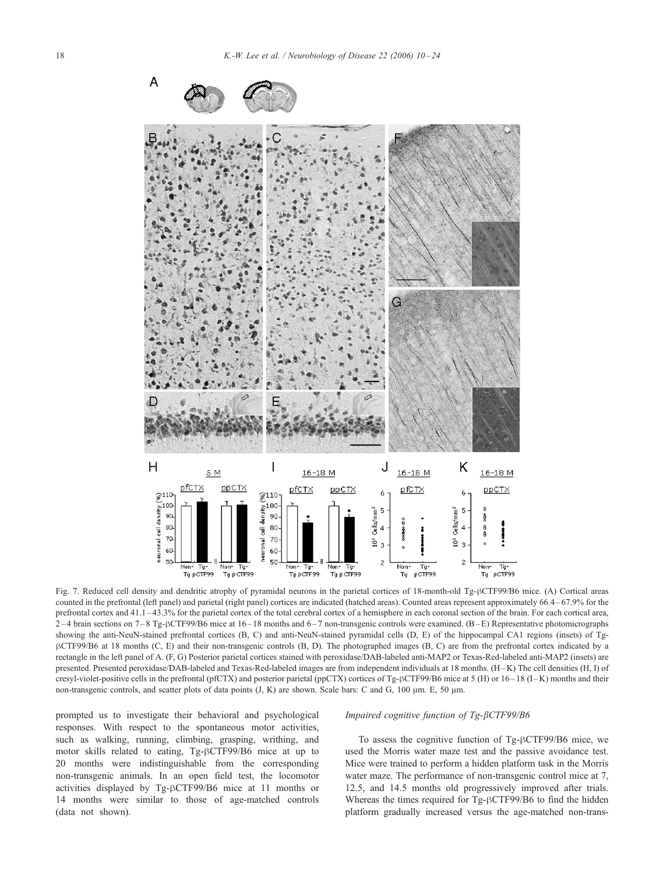<span id="page-8-0"></span>

Fig. 7. Reduced cell density and dendritic atrophy of pyramidal neurons in the parietal cortices of 18-month-old Tg-hCTF99/B6 mice. (A) Cortical areas counted in the prefrontal (left panel) and parietal (right panel) cortices are indicated (hatched areas). Counted areas represent approximately 66.4 – 67.9% for the prefrontal cortex and 41.1–43.3% for the parietal cortex of the total cerebral cortex of a hemisphere in each coronal section of the brain. For each cortical area,  $2-4$  brain sections on  $7-8$  Tg- $\beta$ CTF99/B6 mice at  $16-18$  months and  $6-7$  non-transgenic controls were examined. (B-E) Representative photomicrographs showing the anti-NeuN-stained prefrontal cortices (B, C) and anti-NeuN-stained pyramidal cells (D, E) of the hippocampal CA1 regions (insets) of TghCTF99/B6 at 18 months (C, E) and their non-transgenic controls (B, D). The photographed images (B, C) are from the prefrontal cortex indicated by a rectangle in the left panel of A. (F, G) Posterior parietal cortices stained with peroxidase/DAB-labeled anti-MAP2 or Texas-Red-labeled anti-MAP2 (insets) are presented. Presented peroxidase/DAB-labeled and Texas-Red-labeled images are from independent individuals at 18 months. (H-K) The cell densities (H, I) of cresyl-violet-positive cells in the prefrontal (pfCTX) and posterior parietal (ppCTX) cortices of Tg- $\beta$ CTF99/B6 mice at 5 (H) or 16–18 (I–K) months and their non-transgenic controls, and scatter plots of data points  $(J, K)$  are shown. Scale bars: C and G, 100  $\mu$ m. E, 50  $\mu$ m.

prompted us to investigate their behavioral and psychological responses. With respect to the spontaneous motor activities, such as walking, running, climbing, grasping, writhing, and motor skills related to eating, Tg-BCTF99/B6 mice at up to 20 months were indistinguishable from the corresponding non-transgenic animals. In an open field test, the locomotor activities displayed by Tg-BCTF99/B6 mice at 11 months or 14 months were similar to those of age-matched controls (data not shown).

# Impaired cognitive function of Tg-bCTF99/B6

To assess the cognitive function of Tg- $\beta$ CTF99/B6 mice, we used the Morris water maze test and the passive avoidance test. Mice were trained to perform a hidden platform task in the Morris water maze. The performance of non-transgenic control mice at 7, 12.5, and 14.5 months old progressively improved after trials. Whereas the times required for Tg- $\beta$ CTF99/B6 to find the hidden platform gradually increased versus the age-matched non-trans-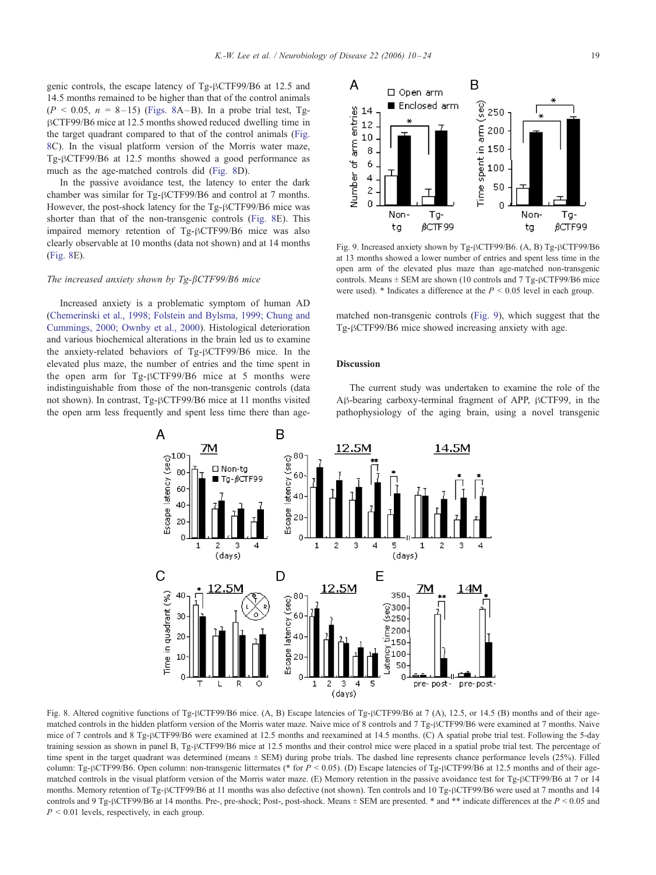<span id="page-9-0"></span>genic controls, the escape latency of Tg- $\beta$ CTF99/B6 at 12.5 and 14.5 months remained to be higher than that of the control animals  $(P < 0.05, n = 8-15)$  (Figs. 8A-B). In a probe trial test, Tg-BCTF99/B6 mice at 12.5 months showed reduced dwelling time in the target quadrant compared to that of the control animals (Fig. 8C). In the visual platform version of the Morris water maze, Tg- $\beta$ CTF99/B6 at 12.5 months showed a good performance as much as the age-matched controls did (Fig. 8D).

In the passive avoidance test, the latency to enter the dark chamber was similar for  $Tg-\beta CTF99/B6$  and control at 7 months. However, the post-shock latency for the Tg-BCTF99/B6 mice was shorter than that of the non-transgenic controls (Fig. 8E). This impaired memory retention of Tg-BCTF99/B6 mice was also clearly observable at 10 months (data not shown) and at 14 months (Fig. 8E).

## The increased anxiety shown by  $Tg-\beta CTF99/B6$  mice

Increased anxiety is a problematic symptom of human AD ([Chemerinski et al., 1998; Folstein and Bylsma, 1999; Chung and](#page-12-0) Cummings, 2000; Ownby et al., 2000). Histological deterioration and various biochemical alterations in the brain led us to examine the anxiety-related behaviors of Tg-BCTF99/B6 mice. In the elevated plus maze, the number of entries and the time spent in the open arm for  $Tg-BCTF99/B6$  mice at 5 months were indistinguishable from those of the non-transgenic controls (data not shown). In contrast, Tg- $\beta$ CTF99/B6 mice at 11 months visited the open arm less frequently and spent less time there than age-



Fig. 9. Increased anxiety shown by Tg- $\beta$ CTF99/B6. (A, B) Tg- $\beta$ CTF99/B6 at 13 months showed a lower number of entries and spent less time in the open arm of the elevated plus maze than age-matched non-transgenic controls. Means  $\pm$  SEM are shown (10 controls and 7 Tg- $\beta$ CTF99/B6 mice were used). \* Indicates a difference at the  $P < 0.05$  level in each group.

matched non-transgenic controls (Fig. 9), which suggest that the  $Tg-\beta CTF99/B6$  mice showed increasing anxiety with age.

## Discussion

The current study was undertaken to examine the role of the  $A\beta$ -bearing carboxy-terminal fragment of APP,  $\beta$ CTF99, in the pathophysiology of the aging brain, using a novel transgenic



Fig. 8. Altered cognitive functions of Tg- $BCTF9/B6$  mice. (A, B) Escape latencies of Tg- $BCTF9/B6$  at 7 (A), 12.5, or 14.5 (B) months and of their agematched controls in the hidden platform version of the Morris water maze. Naive mice of 8 controls and 7 Tg- $\beta$ CTF99/B6 were examined at 7 months. Naive mice of 7 controls and 8 Tg-BCTF99/B6 were examined at 12.5 months and reexamined at 14.5 months. (C) A spatial probe trial test. Following the 5-day training session as shown in panel B, Tg-BCTF99/B6 mice at 12.5 months and their control mice were placed in a spatial probe trial test. The percentage of time spent in the target quadrant was determined (means  $\pm$  SEM) during probe trials. The dashed line represents chance performance levels (25%). Filled column: Tg-BCTF99/B6. Open column: non-transgenic littermates (\* for  $P < 0.05$ ). (D) Escape latencies of Tg-BCTF99/B6 at 12.5 months and of their agematched controls in the visual platform version of the Morris water maze. (E) Memory retention in the passive avoidance test for Tg- $\beta$ CTF99/B6 at 7 or 14 months. Memory retention of Tg-BCTF99/B6 at 11 months was also defective (not shown). Ten controls and 10 Tg-BCTF99/B6 were used at 7 months and 14 controls and 9 Tg- $\beta$ CTF99/B6 at 14 months. Pre-, pre-shock; Post-, post-shock. Means  $\pm$  SEM are presented. \* and \*\* indicate differences at the P < 0.05 and  $P < 0.01$  levels, respectively, in each group.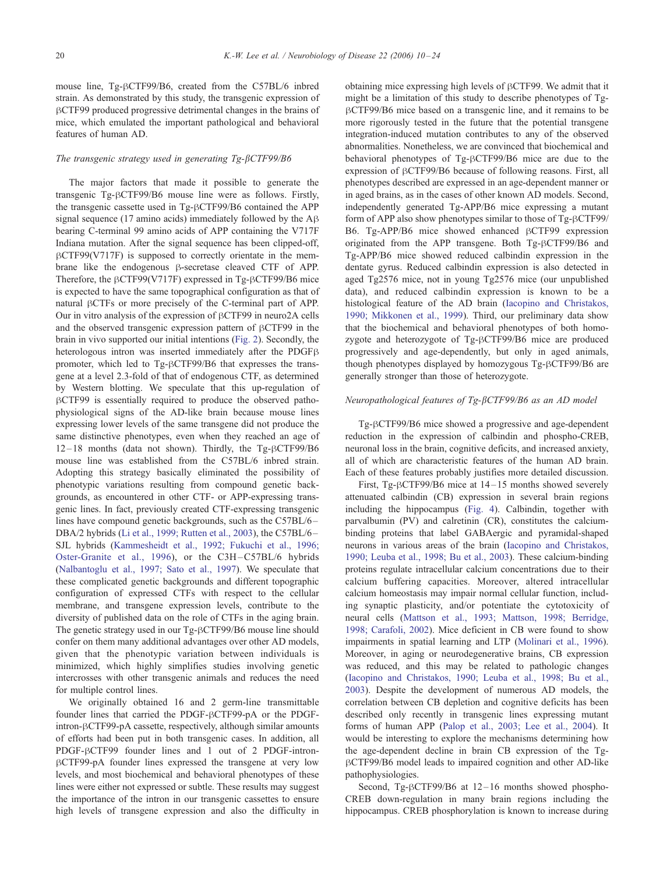mouse line, Tg-BCTF99/B6, created from the C57BL/6 inbred strain. As demonstrated by this study, the transgenic expression of hCTF99 produced progressive detrimental changes in the brains of mice, which emulated the important pathological and behavioral features of human AD.

## The transgenic strategy used in generating  $Tg-\beta CTF99/B6$

The major factors that made it possible to generate the transgenic Tg- $\beta$ CTF99/B6 mouse line were as follows. Firstly, the transgenic cassette used in Tg-BCTF99/B6 contained the APP signal sequence (17 amino acids) immediately followed by the  $AB$ bearing C-terminal 99 amino acids of APP containing the V717F Indiana mutation. After the signal sequence has been clipped-off,  $\beta$ CTF99(V717F) is supposed to correctly orientate in the membrane like the endogenous  $\beta$ -secretase cleaved CTF of APP. Therefore, the  $\beta$ CTF99(V717F) expressed in Tg- $\beta$ CTF99/B6 mice is expected to have the same topographical configuration as that of natural  $\beta$ CTFs or more precisely of the C-terminal part of APP. Our in vitro analysis of the expression of  $\beta$ CTF99 in neuro2A cells and the observed transgenic expression pattern of  $\beta$ CTF99 in the brain in vivo supported our initial intentions ([Fig. 2\)](#page-4-0). Secondly, the heterologous intron was inserted immediately after the PDGF $\beta$ promoter, which led to Tg-BCTF99/B6 that expresses the transgene at a level 2.3-fold of that of endogenous CTF, as determined by Western blotting. We speculate that this up-regulation of  $\beta$ CTF99 is essentially required to produce the observed pathophysiological signs of the AD-like brain because mouse lines expressing lower levels of the same transgene did not produce the same distinctive phenotypes, even when they reached an age of  $12 - 18$  months (data not shown). Thirdly, the Tg- $\beta$ CTF99/B6 mouse line was established from the C57BL/6 inbred strain. Adopting this strategy basically eliminated the possibility of phenotypic variations resulting from compound genetic backgrounds, as encountered in other CTF- or APP-expressing transgenic lines. In fact, previously created CTF-expressing transgenic lines have compound genetic backgrounds, such as the C57BL/6 – DBA/2 hybrids ([Li et al., 1999; Rutten et al., 2003\)](#page-13-0), the C57BL/6 – SJL hybrids ([Kammesheidt et al., 1992; Fukuchi et al., 1996;](#page-13-0) Oster-Granite et al., 1996), or the C3H –C57BL/6 hybrids ([Nalbantoglu et al., 1997; Sato et al., 1997\)](#page-13-0). We speculate that these complicated genetic backgrounds and different topographic configuration of expressed CTFs with respect to the cellular membrane, and transgene expression levels, contribute to the diversity of published data on the role of CTFs in the aging brain. The genetic strategy used in our Tg-BCTF99/B6 mouse line should confer on them many additional advantages over other AD models, given that the phenotypic variation between individuals is minimized, which highly simplifies studies involving genetic intercrosses with other transgenic animals and reduces the need for multiple control lines.

We originally obtained 16 and 2 germ-line transmittable founder lines that carried the PDGF- $\beta$ CTF99-pA or the PDGF $intron$ - $\beta$ CTF99-pA cassette, respectively, although similar amounts of efforts had been put in both transgenic cases. In addition, all PDGF- $\beta$ CTF99 founder lines and 1 out of 2 PDGF-intron- $\beta$ CTF99-pA founder lines expressed the transgene at very low levels, and most biochemical and behavioral phenotypes of these lines were either not expressed or subtle. These results may suggest the importance of the intron in our transgenic cassettes to ensure high levels of transgene expression and also the difficulty in obtaining mice expressing high levels of  $\beta$ CTF99. We admit that it might be a limitation of this study to describe phenotypes of TgβCTF99/B6 mice based on a transgenic line, and it remains to be more rigorously tested in the future that the potential transgene integration-induced mutation contributes to any of the observed abnormalities. Nonetheless, we are convinced that biochemical and behavioral phenotypes of Tg-BCTF99/B6 mice are due to the expression of  $\beta$ CTF99/B6 because of following reasons. First, all phenotypes described are expressed in an age-dependent manner or in aged brains, as in the cases of other known AD models. Second, independently generated Tg-APP/B6 mice expressing a mutant form of APP also show phenotypes similar to those of  $Tg-BCTF99/$ B6. Tg-APP/B6 mice showed enhanced  $\beta$ CTF99 expression originated from the APP transgene. Both  $Tg-\beta CTF99/B6$  and Tg-APP/B6 mice showed reduced calbindin expression in the dentate gyrus. Reduced calbindin expression is also detected in aged Tg2576 mice, not in young Tg2576 mice (our unpublished data), and reduced calbindin expression is known to be a histological feature of the AD brain ([Iacopino and Christakos,](#page-12-0) 1990; Mikkonen et al., 1999). Third, our preliminary data show that the biochemical and behavioral phenotypes of both homozygote and heterozygote of Tg-BCTF99/B6 mice are produced progressively and age-dependently, but only in aged animals, though phenotypes displayed by homozygous Tg- $\beta$ CTF99/B6 are generally stronger than those of heterozygote.

# Neuropathological features of Tg-bCTF99/B6 as an AD model

Tg- $\beta$ CTF99/B6 mice showed a progressive and age-dependent reduction in the expression of calbindin and phospho-CREB, neuronal loss in the brain, cognitive deficits, and increased anxiety, all of which are characteristic features of the human AD brain. Each of these features probably justifies more detailed discussion.

First, Tg- $\beta$ CTF99/B6 mice at 14–15 months showed severely attenuated calbindin (CB) expression in several brain regions including the hippocampus ([Fig. 4\)](#page-5-0). Calbindin, together with parvalbumin (PV) and calretinin (CR), constitutes the calciumbinding proteins that label GABAergic and pyramidal-shaped neurons in various areas of the brain ([Iacopino and Christakos,](#page-12-0) 1990; Leuba et al., 1998; Bu et al., 2003). These calcium-binding proteins regulate intracellular calcium concentrations due to their calcium buffering capacities. Moreover, altered intracellular calcium homeostasis may impair normal cellular function, including synaptic plasticity, and/or potentiate the cytotoxicity of neural cells ([Mattson et al., 1993; Mattson, 1998; Berridge,](#page-13-0) 1998; Carafoli, 2002). Mice deficient in CB were found to show impairments in spatial learning and LTP ([Molinari et al., 1996\)](#page-13-0). Moreover, in aging or neurodegenerative brains, CB expression was reduced, and this may be related to pathologic changes ([Iacopino and Christakos, 1990; Leuba et al., 1998; Bu et al.,](#page-12-0) 2003). Despite the development of numerous AD models, the correlation between CB depletion and cognitive deficits has been described only recently in transgenic lines expressing mutant forms of human APP ([Palop et al., 2003; Lee et al., 2004\)](#page-13-0). It would be interesting to explore the mechanisms determining how the age-dependent decline in brain CB expression of the TgβCTF99/B6 model leads to impaired cognition and other AD-like pathophysiologies.

Second, Tg- $\beta$ CTF99/B6 at 12-16 months showed phospho-CREB down-regulation in many brain regions including the hippocampus. CREB phosphorylation is known to increase during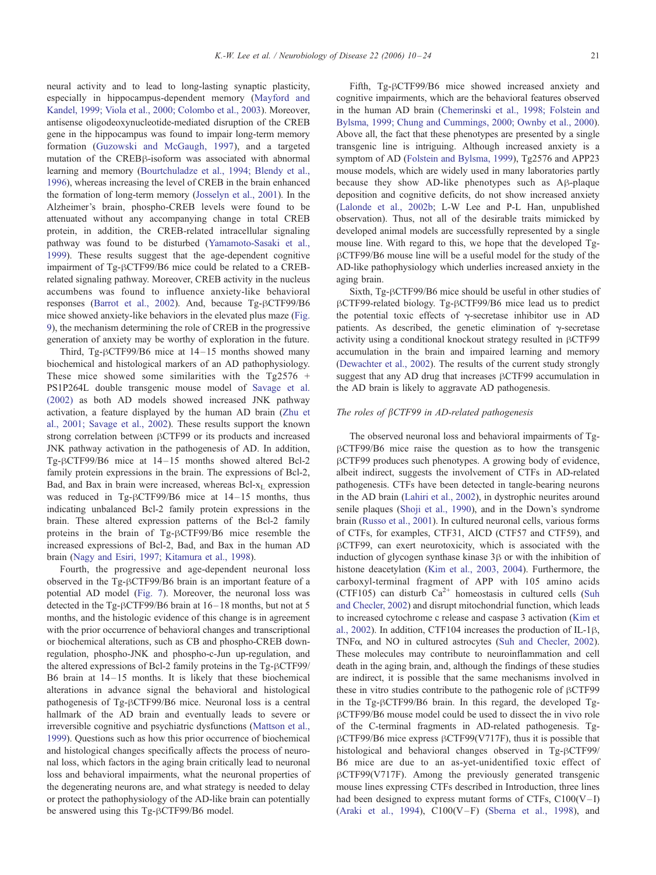neural activity and to lead to long-lasting synaptic plasticity, especially in hippocampus-dependent memory ([Mayford and](#page-13-0) Kandel, 1999; Viola et al., 2000; Colombo et al., 2003). Moreover, antisense oligodeoxynucleotide-mediated disruption of the CREB gene in the hippocampus was found to impair long-term memory formation ([Guzowski and McGaugh, 1997\)](#page-12-0), and a targeted mutation of the CREBß-isoform was associated with abnormal learning and memory ([Bourtchuladze et al., 1994; Blendy et al.,](#page-12-0) 1996), whereas increasing the level of CREB in the brain enhanced the formation of long-term memory ([Josselyn et al., 2001\)](#page-13-0). In the Alzheimer's brain, phospho-CREB levels were found to be attenuated without any accompanying change in total CREB protein, in addition, the CREB-related intracellular signaling pathway was found to be disturbed ([Yamamoto-Sasaki et al.,](#page-14-0) 1999). These results suggest that the age-dependent cognitive impairment of Tg- $\beta$ CTF99/B6 mice could be related to a CREBrelated signaling pathway. Moreover, CREB activity in the nucleus accumbens was found to influence anxiety-like behavioral responses ([Barrot et al., 2002\)](#page-12-0). And, because Tg- $\beta$ CTF99/B6 mice showed anxiety-like behaviors in the elevated plus maze ([Fig.](#page-9-0) 9), the mechanism determining the role of CREB in the progressive generation of anxiety may be worthy of exploration in the future.

Third, Tg- $\beta$ CTF99/B6 mice at 14–15 months showed many biochemical and histological markers of an AD pathophysiology. These mice showed some similarities with the Tg2576 + PS1P264L double transgenic mouse model of [Savage et al.](#page-13-0) (2002) as both AD models showed increased JNK pathway activation, a feature displayed by the human AD brain ([Zhu et](#page-14-0) al., 2001; Savage et al., 2002). These results support the known strong correlation between  $\beta$ CTF99 or its products and increased JNK pathway activation in the pathogenesis of AD. In addition, Tg- $\beta$ CTF99/B6 mice at 14-15 months showed altered Bcl-2 family protein expressions in the brain. The expressions of Bcl-2, Bad, and Bax in brain were increased, whereas  $Bel-<sub>L</sub>$  expression was reduced in Tg- $\beta$ CTF99/B6 mice at 14-15 months, thus indicating unbalanced Bcl-2 family protein expressions in the brain. These altered expression patterns of the Bcl-2 family proteins in the brain of Tg- $\beta$ CTF99/B6 mice resemble the increased expressions of Bcl-2, Bad, and Bax in the human AD brain ([Nagy and Esiri, 1997; Kitamura et al., 1998\)](#page-13-0).

Fourth, the progressive and age-dependent neuronal loss observed in the Tg-BCTF99/B6 brain is an important feature of a potential AD model ([Fig. 7\)](#page-8-0). Moreover, the neuronal loss was detected in the Tg- $\beta$ CTF99/B6 brain at 16–18 months, but not at 5 months, and the histologic evidence of this change is in agreement with the prior occurrence of behavioral changes and transcriptional or biochemical alterations, such as CB and phospho-CREB downregulation, phospho-JNK and phospho-c-Jun up-regulation, and the altered expressions of Bcl-2 family proteins in the  $Tg-\beta CTF99/$ B6 brain at  $14-15$  months. It is likely that these biochemical alterations in advance signal the behavioral and histological pathogenesis of Tg- $\beta$ CTF99/B6 mice. Neuronal loss is a central hallmark of the AD brain and eventually leads to severe or irreversible cognitive and psychiatric dysfunctions ([Mattson et al.,](#page-13-0) 1999). Questions such as how this prior occurrence of biochemical and histological changes specifically affects the process of neuronal loss, which factors in the aging brain critically lead to neuronal loss and behavioral impairments, what the neuronal properties of the degenerating neurons are, and what strategy is needed to delay or protect the pathophysiology of the AD-like brain can potentially be answered using this  $Tg$ - $\beta$ CTF99/B6 model.

Fifth, Tg-BCTF99/B6 mice showed increased anxiety and cognitive impairments, which are the behavioral features observed in the human AD brain ([Chemerinski et al., 1998; Folstein and](#page-12-0) Bylsma, 1999; Chung and Cummings, 2000; Ownby et al., 2000). Above all, the fact that these phenotypes are presented by a single transgenic line is intriguing. Although increased anxiety is a symptom of AD ([Folstein and Bylsma, 1999\)](#page-12-0), Tg2576 and APP23 mouse models, which are widely used in many laboratories partly because they show AD-like phenotypes such as  $A\beta$ -plaque deposition and cognitive deficits, do not show increased anxiety ([Lalonde et al., 2002b;](#page-13-0) L-W Lee and P-L Han, unpublished observation). Thus, not all of the desirable traits mimicked by developed animal models are successfully represented by a single mouse line. With regard to this, we hope that the developed TghCTF99/B6 mouse line will be a useful model for the study of the AD-like pathophysiology which underlies increased anxiety in the aging brain.

Sixth, Tg- $\beta$ CTF99/B6 mice should be useful in other studies of hCTF99-related biology. Tg-hCTF99/B6 mice lead us to predict the potential toxic effects of  $\gamma$ -secretase inhibitor use in AD patients. As described, the genetic elimination of  $\gamma$ -secretase activity using a conditional knockout strategy resulted in  $\beta$ CTF99 accumulation in the brain and impaired learning and memory ([Dewachter et al., 2002\)](#page-12-0). The results of the current study strongly suggest that any AD drug that increases  $\beta$ CTF99 accumulation in the AD brain is likely to aggravate AD pathogenesis.

## The roles of  $\beta$ CTF99 in AD-related pathogenesis

The observed neuronal loss and behavioral impairments of Tg- $\beta$ CTF99/B6 mice raise the question as to how the transgenic  $\beta$ CTF99 produces such phenotypes. A growing body of evidence, albeit indirect, suggests the involvement of CTFs in AD-related pathogenesis. CTFs have been detected in tangle-bearing neurons in the AD brain ([Lahiri et al., 2002\)](#page-13-0), in dystrophic neurites around senile plaques ([Shoji et al., 1990\)](#page-14-0), and in the Down's syndrome brain ([Russo et al., 2001\)](#page-13-0). In cultured neuronal cells, various forms of CTFs, for examples, CTF31, AICD (CTF57 and CTF59), and  $\beta$ CTF99, can exert neurotoxicity, which is associated with the induction of glycogen synthase kinase 3<sub>B</sub> or with the inhibition of histone deacetylation ([Kim et al., 2003, 2004\)](#page-13-0). Furthermore, the carboxyl-terminal fragment of APP with 105 amino acids (CTF105) can disturb  $Ca^{2+}$  homeostasis in cultured cells ([Suh](#page-14-0)) and Checler, 2002) and disrupt mitochondrial function, which leads to increased cytochrome c release and caspase 3 activation ([Kim et](#page-13-0) al., 2002). In addition, CTF104 increases the production of IL-1 $\beta$ , TNF $\alpha$ , and NO in cultured astrocytes ([Suh and Checler, 2002\)](#page-14-0). These molecules may contribute to neuroinflammation and cell death in the aging brain, and, although the findings of these studies are indirect, it is possible that the same mechanisms involved in these in vitro studies contribute to the pathogenic role of  $\beta$ CTF99 in the Tg- $\beta$ CTF99/B6 brain. In this regard, the developed TgβCTF99/B6 mouse model could be used to dissect the in vivo role of the C-terminal fragments in AD-related pathogenesis. Tg- $\beta$ CTF99/B6 mice express  $\beta$ CTF99(V717F), thus it is possible that histological and behavioral changes observed in Tg-BCTF99/ B6 mice are due to an as-yet-unidentified toxic effect of  $\beta$ CTF99(V717F). Among the previously generated transgenic mouse lines expressing CTFs described in Introduction, three lines had been designed to express mutant forms of CTFs,  $C100(V-I)$ ([Araki et al., 1994\)](#page-12-0),  $C100(V - F)$  ([Sberna et al., 1998\)](#page-14-0), and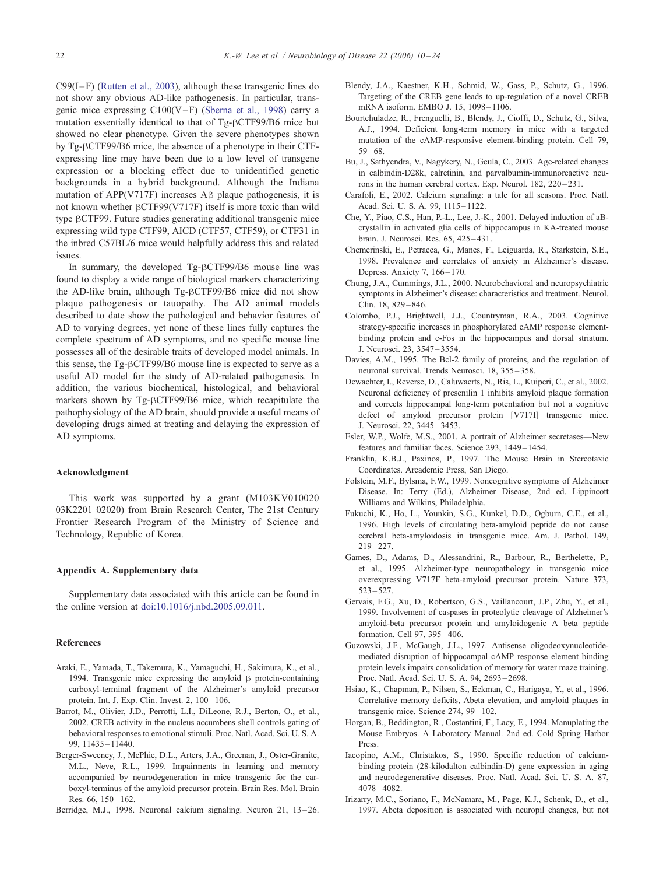<span id="page-12-0"></span> $C99(I-F)$  ([Rutten et al., 2003\)](#page-13-0), although these transgenic lines do not show any obvious AD-like pathogenesis. In particular, transgenic mice expressing  $C100(V-F)$  ([Sberna et al., 1998\)](#page-14-0) carry a mutation essentially identical to that of Tg-BCTF99/B6 mice but showed no clear phenotype. Given the severe phenotypes shown by Tg- $\beta$ CTF99/B6 mice, the absence of a phenotype in their CTFexpressing line may have been due to a low level of transgene expression or a blocking effect due to unidentified genetic backgrounds in a hybrid background. Although the Indiana mutation of APP(V717F) increases  $\overrightarrow{AB}$  plaque pathogenesis, it is not known whether  $\beta$ CTF99(V717F) itself is more toxic than wild type  $\beta$ CTF99. Future studies generating additional transgenic mice expressing wild type CTF99, AICD (CTF57, CTF59), or CTF31 in the inbred C57BL/6 mice would helpfully address this and related issues.

In summary, the developed Tg-BCTF99/B6 mouse line was found to display a wide range of biological markers characterizing the AD-like brain, although Tg-BCTF99/B6 mice did not show plaque pathogenesis or tauopathy. The AD animal models described to date show the pathological and behavior features of AD to varying degrees, yet none of these lines fully captures the complete spectrum of AD symptoms, and no specific mouse line possesses all of the desirable traits of developed model animals. In this sense, the  $Tg$ - $\beta$ CTF99/B6 mouse line is expected to serve as a useful AD model for the study of AD-related pathogenesis. In addition, the various biochemical, histological, and behavioral markers shown by  $Tg-\beta CTF99/B6$  mice, which recapitulate the pathophysiology of the AD brain, should provide a useful means of developing drugs aimed at treating and delaying the expression of AD symptoms.

## Acknowledgment

This work was supported by a grant (M103KV010020 03K2201 02020) from Brain Research Center, The 21st Century Frontier Research Program of the Ministry of Science and Technology, Republic of Korea.

## Appendix A. Supplementary data

Supplementary data associated with this article can be found in the online version at [doi:10.1016/j.nbd.2005.09.011.]( doi:10.1016\j.nbd.2005.09.011 )

## References

- Araki, E., Yamada, T., Takemura, K., Yamaguchi, H., Sakimura, K., et al., 1994. Transgenic mice expressing the amyloid  $\beta$  protein-containing carboxyl-terminal fragment of the Alzheimer's amyloid precursor protein. Int. J. Exp. Clin. Invest. 2, 100 – 106.
- Barrot, M., Olivier, J.D., Perrotti, L.I., DiLeone, R.J., Berton, O., et al., 2002. CREB activity in the nucleus accumbens shell controls gating of behavioral responses to emotional stimuli. Proc. Natl. Acad. Sci. U. S. A. 99, 11435 – 11440.
- Berger-Sweeney, J., McPhie, D.L., Arters, J.A., Greenan, J., Oster-Granite, M.L., Neve, R.L., 1999. Impairments in learning and memory accompanied by neurodegeneration in mice transgenic for the carboxyl-terminus of the amyloid precursor protein. Brain Res. Mol. Brain Res. 66, 150-162.
- Berridge, M.J., 1998. Neuronal calcium signaling. Neuron 21, 13-26.
- Blendy, J.A., Kaestner, K.H., Schmid, W., Gass, P., Schutz, G., 1996. Targeting of the CREB gene leads to up-regulation of a novel CREB mRNA isoform. EMBO J. 15, 1098-1106.
- Bourtchuladze, R., Frenguelli, B., Blendy, J., Cioffi, D., Schutz, G., Silva, A.J., 1994. Deficient long-term memory in mice with a targeted mutation of the cAMP-responsive element-binding protein. Cell 79,  $59 - 68.$
- Bu, J., Sathyendra, V., Nagykery, N., Geula, C., 2003. Age-related changes in calbindin-D28k, calretinin, and parvalbumin-immunoreactive neurons in the human cerebral cortex. Exp. Neurol. 182, 220 – 231.
- Carafoli, E., 2002. Calcium signaling: a tale for all seasons. Proc. Natl. Acad. Sci. U. S. A. 99, 1115 – 1122.
- Che, Y., Piao, C.S., Han, P.-L., Lee, J.-K., 2001. Delayed induction of aBcrystallin in activated glia cells of hippocampus in KA-treated mouse brain. J. Neurosci. Res. 65, 425 – 431.
- Chemerinski, E., Petracca, G., Manes, F., Leiguarda, R., Starkstein, S.E., 1998. Prevalence and correlates of anxiety in Alzheimer's disease. Depress. Anxiety 7, 166-170.
- Chung, J.A., Cummings, J.L., 2000. Neurobehavioral and neuropsychiatric symptoms in Alzheimer's disease: characteristics and treatment. Neurol. Clin. 18, 829 – 846.
- Colombo, P.J., Brightwell, J.J., Countryman, R.A., 2003. Cognitive strategy-specific increases in phosphorylated cAMP response elementbinding protein and c-Fos in the hippocampus and dorsal striatum. J. Neurosci. 23, 3547 – 3554.
- Davies, A.M., 1995. The Bcl-2 family of proteins, and the regulation of neuronal survival. Trends Neurosci. 18, 355 – 358.
- Dewachter, I., Reverse, D., Caluwaerts, N., Ris, L., Kuiperi, C., et al., 2002. Neuronal deficiency of presenilin 1 inhibits amyloid plaque formation and corrects hippocampal long-term potentiation but not a cognitive defect of amyloid precursor protein [V717I] transgenic mice. J. Neurosci. 22, 3445 – 3453.
- Esler, W.P., Wolfe, M.S., 2001. A portrait of Alzheimer secretases—New features and familiar faces. Science 293, 1449 – 1454.
- Franklin, K.B.J., Paxinos, P., 1997. The Mouse Brain in Stereotaxic Coordinates. Arcademic Press, San Diego.
- Folstein, M.F., Bylsma, F.W., 1999. Noncognitive symptoms of Alzheimer Disease. In: Terry (Ed.), Alzheimer Disease, 2nd ed. Lippincott Williams and Wilkins, Philadelphia.
- Fukuchi, K., Ho, L., Younkin, S.G., Kunkel, D.D., Ogburn, C.E., et al., 1996. High levels of circulating beta-amyloid peptide do not cause cerebral beta-amyloidosis in transgenic mice. Am. J. Pathol. 149,  $219 - 227$
- Games, D., Adams, D., Alessandrini, R., Barbour, R., Berthelette, P., et al., 1995. Alzheimer-type neuropathology in transgenic mice overexpressing V717F beta-amyloid precursor protein. Nature 373, 523 – 527.
- Gervais, F.G., Xu, D., Robertson, G.S., Vaillancourt, J.P., Zhu, Y., et al., 1999. Involvement of caspases in proteolytic cleavage of Alzheimer's amyloid-beta precursor protein and amyloidogenic A beta peptide formation. Cell 97, 395 – 406.
- Guzowski, J.F., McGaugh, J.L., 1997. Antisense oligodeoxynucleotidemediated disruption of hippocampal cAMP response element binding protein levels impairs consolidation of memory for water maze training. Proc. Natl. Acad. Sci. U. S. A. 94, 2693 – 2698.
- Hsiao, K., Chapman, P., Nilsen, S., Eckman, C., Harigaya, Y., et al., 1996. Correlative memory deficits, Abeta elevation, and amyloid plaques in transgenic mice. Science 274, 99-102.
- Horgan, B., Beddington, R., Costantini, F., Lacy, E., 1994. Manuplating the Mouse Embryos. A Laboratory Manual. 2nd ed. Cold Spring Harbor Press.
- Iacopino, A.M., Christakos, S., 1990. Specific reduction of calciumbinding protein (28-kilodalton calbindin-D) gene expression in aging and neurodegenerative diseases. Proc. Natl. Acad. Sci. U. S. A. 87, 4078 – 4082.
- Irizarry, M.C., Soriano, F., McNamara, M., Page, K.J., Schenk, D., et al., 1997. Abeta deposition is associated with neuropil changes, but not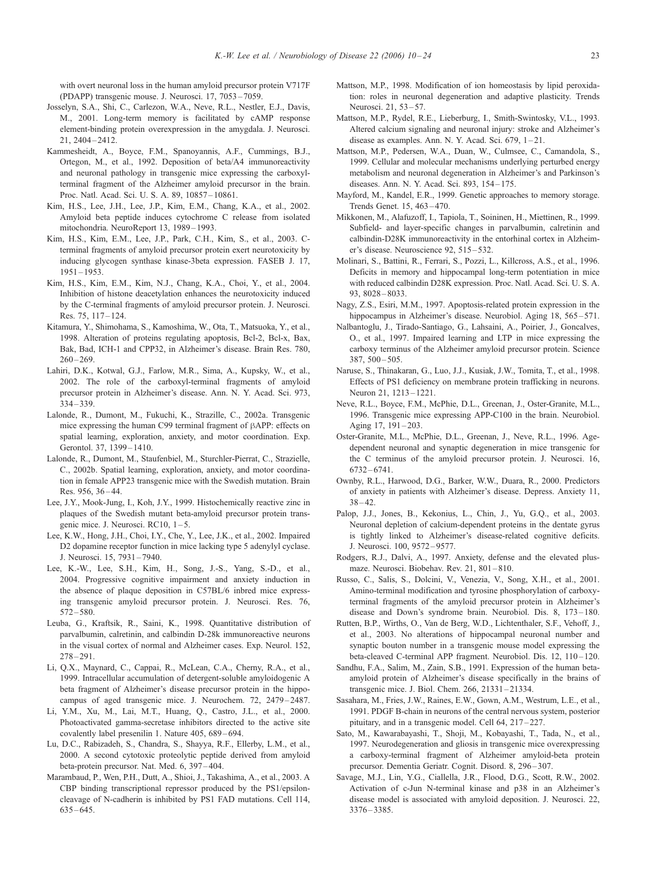<span id="page-13-0"></span>with overt neuronal loss in the human amyloid precursor protein V717F (PDAPP) transgenic mouse. J. Neurosci. 17, 7053 – 7059.

- Josselyn, S.A., Shi, C., Carlezon, W.A., Neve, R.L., Nestler, E.J., Davis, M., 2001. Long-term memory is facilitated by cAMP response element-binding protein overexpression in the amygdala. J. Neurosci. 21, 2404 – 2412.
- Kammesheidt, A., Boyce, F.M., Spanoyannis, A.F., Cummings, B.J., Ortegon, M., et al., 1992. Deposition of beta/A4 immunoreactivity and neuronal pathology in transgenic mice expressing the carboxylterminal fragment of the Alzheimer amyloid precursor in the brain. Proc. Natl. Acad. Sci. U. S. A. 89, 10857 – 10861.
- Kim, H.S., Lee, J.H., Lee, J.P., Kim, E.M., Chang, K.A., et al., 2002. Amyloid beta peptide induces cytochrome C release from isolated mitochondria. NeuroReport 13, 1989 – 1993.
- Kim, H.S., Kim, E.M., Lee, J.P., Park, C.H., Kim, S., et al., 2003. Cterminal fragments of amyloid precursor protein exert neurotoxicity by inducing glycogen synthase kinase-3beta expression. FASEB J. 17,  $1951 - 1953$
- Kim, H.S., Kim, E.M., Kim, N.J., Chang, K.A., Choi, Y., et al., 2004. Inhibition of histone deacetylation enhances the neurotoxicity induced by the C-terminal fragments of amyloid precursor protein. J. Neurosci. Res. 75, 117 – 124.
- Kitamura, Y., Shimohama, S., Kamoshima, W., Ota, T., Matsuoka, Y., et al., 1998. Alteration of proteins regulating apoptosis, Bcl-2, Bcl-x, Bax, Bak, Bad, ICH-1 and CPP32, in Alzheimer's disease. Brain Res. 780,  $260 - 269$
- Lahiri, D.K., Kotwal, G.J., Farlow, M.R., Sima, A., Kupsky, W., et al., 2002. The role of the carboxyl-terminal fragments of amyloid precursor protein in Alzheimer's disease. Ann. N. Y. Acad. Sci. 973, 334 – 339.
- Lalonde, R., Dumont, M., Fukuchi, K., Strazille, C., 2002a. Transgenic mice expressing the human C99 terminal fragment of  $\beta$ APP: effects on spatial learning, exploration, anxiety, and motor coordination. Exp. Gerontol. 37, 1399 – 1410.
- Lalonde, R., Dumont, M., Staufenbiel, M., Sturchler-Pierrat, C., Strazielle, C., 2002b. Spatial learning, exploration, anxiety, and motor coordination in female APP23 transgenic mice with the Swedish mutation. Brain Res. 956, 36-44.
- Lee, J.Y., Mook-Jung, I., Koh, J.Y., 1999. Histochemically reactive zinc in plaques of the Swedish mutant beta-amyloid precursor protein transgenic mice. J. Neurosci. RC10, 1-5.
- Lee, K.W., Hong, J.H., Choi, I.Y., Che, Y., Lee, J.K., et al., 2002. Impaired D2 dopamine receptor function in mice lacking type 5 adenylyl cyclase. J. Neurosci. 15, 7931 – 7940.
- Lee, K.-W., Lee, S.H., Kim, H., Song, J.-S., Yang, S.-D., et al., 2004. Progressive cognitive impairment and anxiety induction in the absence of plaque deposition in C57BL/6 inbred mice expressing transgenic amyloid precursor protein. J. Neurosci. Res. 76, 572 – 580.
- Leuba, G., Kraftsik, R., Saini, K., 1998. Quantitative distribution of parvalbumin, calretinin, and calbindin D-28k immunoreactive neurons in the visual cortex of normal and Alzheimer cases. Exp. Neurol. 152,  $278 - 291$
- Li, Q.X., Maynard, C., Cappai, R., McLean, C.A., Cherny, R.A., et al., 1999. Intracellular accumulation of detergent-soluble amyloidogenic A beta fragment of Alzheimer's disease precursor protein in the hippocampus of aged transgenic mice. J. Neurochem. 72, 2479 – 2487.
- Li, Y.M., Xu, M., Lai, M.T., Huang, Q., Castro, J.L., et al., 2000. Photoactivated gamma-secretase inhibitors directed to the active site covalently label presenilin 1. Nature 405, 689 – 694.
- Lu, D.C., Rabizadeh, S., Chandra, S., Shayya, R.F., Ellerby, L.M., et al., 2000. A second cytotoxic proteolytic peptide derived from amyloid beta-protein precursor. Nat. Med. 6, 397 – 404.
- Marambaud, P., Wen, P.H., Dutt, A., Shioi, J., Takashima, A., et al., 2003. A CBP binding transcriptional repressor produced by the PS1/epsiloncleavage of N-cadherin is inhibited by PS1 FAD mutations. Cell 114,  $635 - 645.$
- Mattson, M.P., 1998. Modification of ion homeostasis by lipid peroxidation: roles in neuronal degeneration and adaptive plasticity. Trends Neurosci. 21, 53-57.
- Mattson, M.P., Rydel, R.E., Lieberburg, I., Smith-Swintosky, V.L., 1993. Altered calcium signaling and neuronal injury: stroke and Alzheimer's disease as examples. Ann. N. Y. Acad. Sci.  $679$ ,  $1-21$ .
- Mattson, M.P., Pedersen, W.A., Duan, W., Culmsee, C., Camandola, S., 1999. Cellular and molecular mechanisms underlying perturbed energy metabolism and neuronal degeneration in Alzheimer's and Parkinson's diseases. Ann. N. Y. Acad. Sci. 893, 154 – 175.
- Mayford, M., Kandel, E.R., 1999. Genetic approaches to memory storage. Trends Genet. 15, 463 – 470.
- Mikkonen, M., Alafuzoff, I., Tapiola, T., Soininen, H., Miettinen, R., 1999. Subfield- and layer-specific changes in parvalbumin, calretinin and calbindin-D28K immunoreactivity in the entorhinal cortex in Alzheimer's disease. Neuroscience 92, 515 – 532.
- Molinari, S., Battini, R., Ferrari, S., Pozzi, L., Killcross, A.S., et al., 1996. Deficits in memory and hippocampal long-term potentiation in mice with reduced calbindin D28K expression. Proc. Natl. Acad. Sci. U. S. A. 93, 8028 – 8033.
- Nagy, Z.S., Esiri, M.M., 1997. Apoptosis-related protein expression in the hippocampus in Alzheimer's disease. Neurobiol. Aging 18, 565-571.
- Nalbantoglu, J., Tirado-Santiago, G., Lahsaini, A., Poirier, J., Goncalves, O., et al., 1997. Impaired learning and LTP in mice expressing the carboxy terminus of the Alzheimer amyloid precursor protein. Science  $387, 500 - 505$
- Naruse, S., Thinakaran, G., Luo, J.J., Kusiak, J.W., Tomita, T., et al., 1998. Effects of PS1 deficiency on membrane protein trafficking in neurons. Neuron 21, 1213 – 1221.
- Neve, R.L., Boyce, F.M., McPhie, D.L., Greenan, J., Oster-Granite, M.L., 1996. Transgenic mice expressing APP-C100 in the brain. Neurobiol. Aging 17, 191-203.
- Oster-Granite, M.L., McPhie, D.L., Greenan, J., Neve, R.L., 1996. Agedependent neuronal and synaptic degeneration in mice transgenic for the C terminus of the amyloid precursor protein. J. Neurosci. 16, 6732 – 6741.
- Ownby, R.L., Harwood, D.G., Barker, W.W., Duara, R., 2000. Predictors of anxiety in patients with Alzheimer's disease. Depress. Anxiety 11,  $38 - 42$
- Palop, J.J., Jones, B., Kekonius, L., Chin, J., Yu, G.Q., et al., 2003. Neuronal depletion of calcium-dependent proteins in the dentate gyrus is tightly linked to Alzheimer's disease-related cognitive deficits. J. Neurosci. 100, 9572 – 9577.
- Rodgers, R.J., Dalvi, A., 1997. Anxiety, defense and the elevated plusmaze. Neurosci. Biobehav. Rev. 21, 801-810.
- Russo, C., Salis, S., Dolcini, V., Venezia, V., Song, X.H., et al., 2001. Amino-terminal modification and tyrosine phosphorylation of carboxyterminal fragments of the amyloid precursor protein in Alzheimer's disease and Down's syndrome brain. Neurobiol. Dis. 8, 173-180.
- Rutten, B.P., Wirths, O., Van de Berg, W.D., Lichtenthaler, S.F., Vehoff, J., et al., 2003. No alterations of hippocampal neuronal number and synaptic bouton number in a transgenic mouse model expressing the beta-cleaved C-terminal APP fragment. Neurobiol. Dis. 12, 110-120.
- Sandhu, F.A., Salim, M., Zain, S.B., 1991. Expression of the human betaamyloid protein of Alzheimer's disease specifically in the brains of transgenic mice. J. Biol. Chem. 266, 21331 – 21334.
- Sasahara, M., Fries, J.W., Raines, E.W., Gown, A.M., Westrum, L.E., et al., 1991. PDGF B-chain in neurons of the central nervous system, posterior pituitary, and in a transgenic model. Cell 64, 217 – 227.
- Sato, M., Kawarabayashi, T., Shoji, M., Kobayashi, T., Tada, N., et al., 1997. Neurodegeneration and gliosis in transgenic mice overexpressing a carboxy-terminal fragment of Alzheimer amyloid-beta protein precursor. Dementia Geriatr. Cognit. Disord. 8, 296-307.
- Savage, M.J., Lin, Y.G., Ciallella, J.R., Flood, D.G., Scott, R.W., 2002. Activation of c-Jun N-terminal kinase and p38 in an Alzheimer's disease model is associated with amyloid deposition. J. Neurosci. 22, 3376 – 3385.